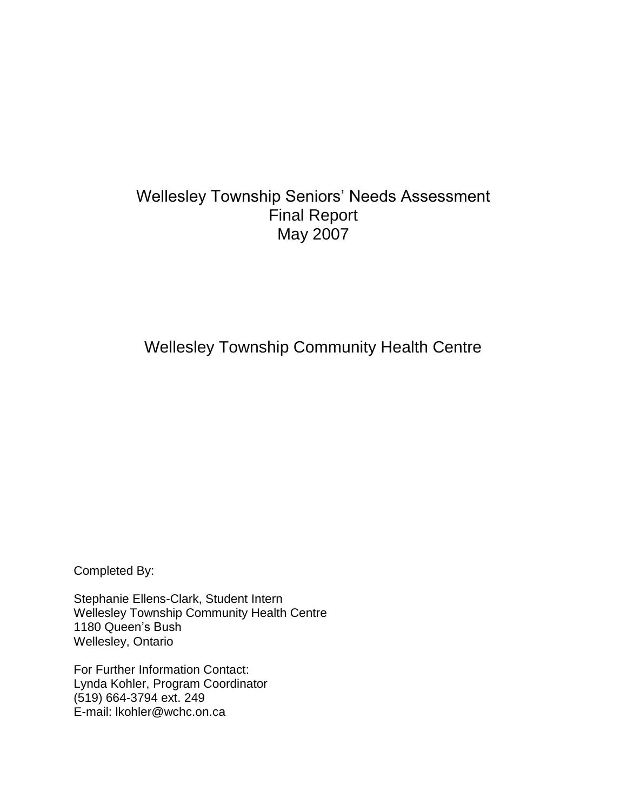# Wellesley Township Seniors' Needs Assessment Final Report May 2007

Wellesley Township Community Health Centre

Completed By:

Stephanie Ellens-Clark, Student Intern Wellesley Township Community Health Centre 1180 Queen's Bush Wellesley, Ontario

For Further Information Contact: Lynda Kohler, Program Coordinator (519) 664-3794 ext. 249 E-mail: lkohler@wchc.on.ca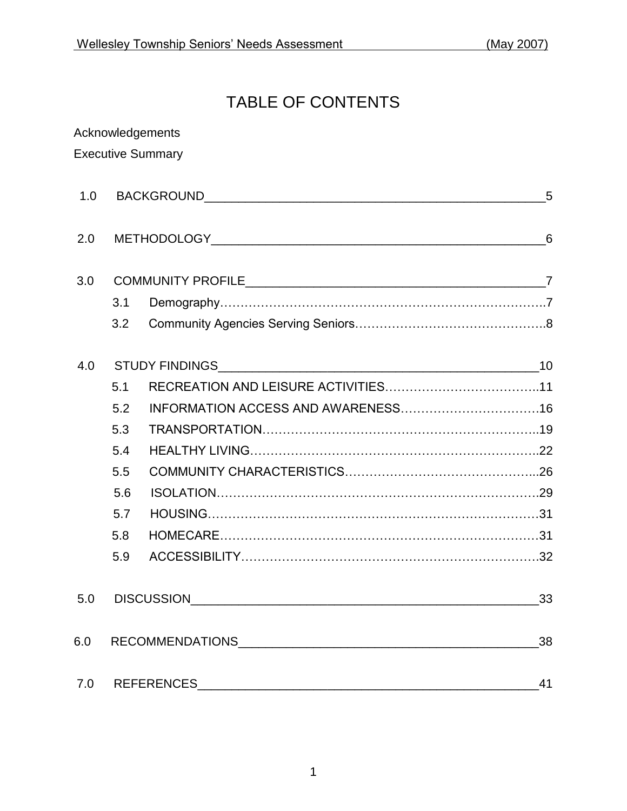# TABLE OF CONTENTS

|     |     | Acknowledgements         |  |  |  |  |
|-----|-----|--------------------------|--|--|--|--|
|     |     | <b>Executive Summary</b> |  |  |  |  |
| 1.0 |     | 5                        |  |  |  |  |
| 2.0 |     |                          |  |  |  |  |
| 3.0 |     |                          |  |  |  |  |
|     | 3.1 |                          |  |  |  |  |
|     | 3.2 |                          |  |  |  |  |
| 4.0 |     |                          |  |  |  |  |
|     | 5.1 |                          |  |  |  |  |
|     | 5.2 |                          |  |  |  |  |
|     | 5.3 |                          |  |  |  |  |
|     | 5.4 |                          |  |  |  |  |
|     | 5.5 |                          |  |  |  |  |
|     | 5.6 |                          |  |  |  |  |
|     | 5.7 |                          |  |  |  |  |
|     | 5.8 |                          |  |  |  |  |
|     | 5.9 |                          |  |  |  |  |
| 5.0 |     | 33                       |  |  |  |  |
| 6.0 |     |                          |  |  |  |  |
| 7.0 | 41  |                          |  |  |  |  |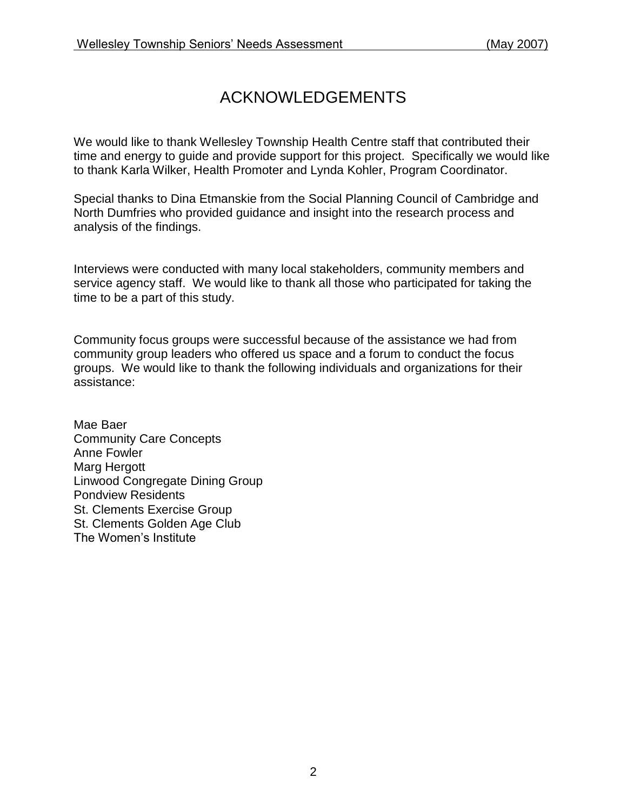# ACKNOWLEDGEMENTS

We would like to thank Wellesley Township Health Centre staff that contributed their time and energy to guide and provide support for this project. Specifically we would like to thank Karla Wilker, Health Promoter and Lynda Kohler, Program Coordinator.

Special thanks to Dina Etmanskie from the Social Planning Council of Cambridge and North Dumfries who provided guidance and insight into the research process and analysis of the findings.

Interviews were conducted with many local stakeholders, community members and service agency staff. We would like to thank all those who participated for taking the time to be a part of this study.

Community focus groups were successful because of the assistance we had from community group leaders who offered us space and a forum to conduct the focus groups. We would like to thank the following individuals and organizations for their assistance:

Mae Baer Community Care Concepts Anne Fowler Marg Hergott Linwood Congregate Dining Group Pondview Residents St. Clements Exercise Group St. Clements Golden Age Club The Women's Institute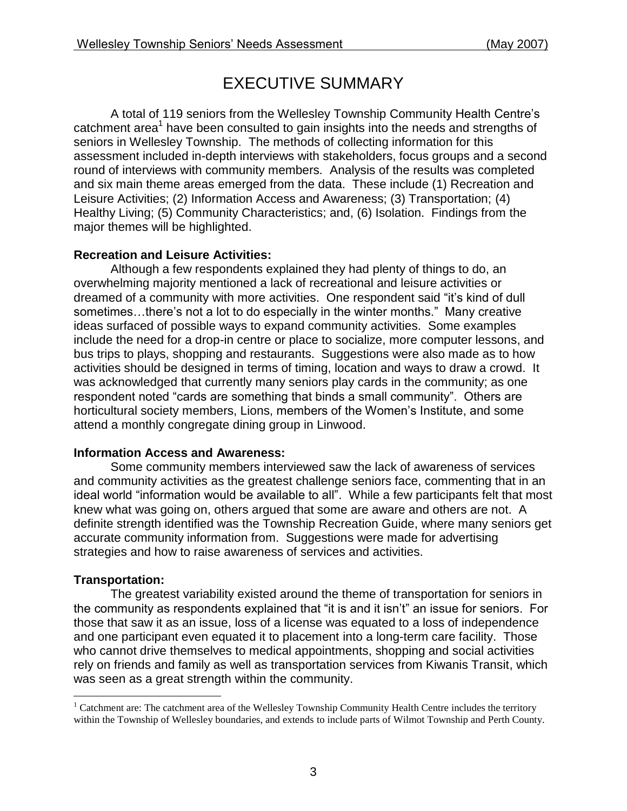# EXECUTIVE SUMMARY

A total of 119 seniors from the Wellesley Township Community Health Centre's catchment area<sup>1</sup> have been consulted to gain insights into the needs and strengths of seniors in Wellesley Township. The methods of collecting information for this assessment included in-depth interviews with stakeholders, focus groups and a second round of interviews with community members. Analysis of the results was completed and six main theme areas emerged from the data. These include (1) Recreation and Leisure Activities; (2) Information Access and Awareness; (3) Transportation; (4) Healthy Living; (5) Community Characteristics; and, (6) Isolation. Findings from the major themes will be highlighted.

#### **Recreation and Leisure Activities:**

Although a few respondents explained they had plenty of things to do, an overwhelming majority mentioned a lack of recreational and leisure activities or dreamed of a community with more activities. One respondent said "it's kind of dull sometimes…there's not a lot to do especially in the winter months." Many creative ideas surfaced of possible ways to expand community activities. Some examples include the need for a drop-in centre or place to socialize, more computer lessons, and bus trips to plays, shopping and restaurants. Suggestions were also made as to how activities should be designed in terms of timing, location and ways to draw a crowd. It was acknowledged that currently many seniors play cards in the community; as one respondent noted "cards are something that binds a small community". Others are horticultural society members, Lions, members of the Women's Institute, and some attend a monthly congregate dining group in Linwood.

### **Information Access and Awareness:**

Some community members interviewed saw the lack of awareness of services and community activities as the greatest challenge seniors face, commenting that in an ideal world "information would be available to all". While a few participants felt that most knew what was going on, others argued that some are aware and others are not. A definite strength identified was the Township Recreation Guide, where many seniors get accurate community information from. Suggestions were made for advertising strategies and how to raise awareness of services and activities.

### **Transportation:**

The greatest variability existed around the theme of transportation for seniors in the community as respondents explained that "it is and it isn't" an issue for seniors. For those that saw it as an issue, loss of a license was equated to a loss of independence and one participant even equated it to placement into a long-term care facility. Those who cannot drive themselves to medical appointments, shopping and social activities rely on friends and family as well as transportation services from Kiwanis Transit, which was seen as a great strength within the community.

 $\overline{a}$ <sup>1</sup> Catchment are: The catchment area of the Wellesley Township Community Health Centre includes the territory within the Township of Wellesley boundaries, and extends to include parts of Wilmot Township and Perth County.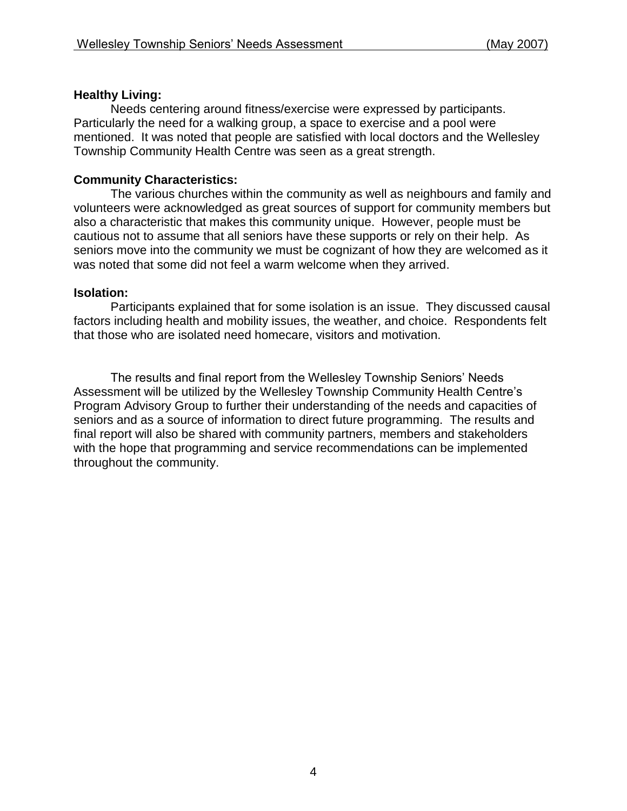#### **Healthy Living:**

Needs centering around fitness/exercise were expressed by participants. Particularly the need for a walking group, a space to exercise and a pool were mentioned. It was noted that people are satisfied with local doctors and the Wellesley Township Community Health Centre was seen as a great strength.

#### **Community Characteristics:**

The various churches within the community as well as neighbours and family and volunteers were acknowledged as great sources of support for community members but also a characteristic that makes this community unique. However, people must be cautious not to assume that all seniors have these supports or rely on their help. As seniors move into the community we must be cognizant of how they are welcomed as it was noted that some did not feel a warm welcome when they arrived.

#### **Isolation:**

Participants explained that for some isolation is an issue. They discussed causal factors including health and mobility issues, the weather, and choice. Respondents felt that those who are isolated need homecare, visitors and motivation.

The results and final report from the Wellesley Township Seniors' Needs Assessment will be utilized by the Wellesley Township Community Health Centre's Program Advisory Group to further their understanding of the needs and capacities of seniors and as a source of information to direct future programming. The results and final report will also be shared with community partners, members and stakeholders with the hope that programming and service recommendations can be implemented throughout the community.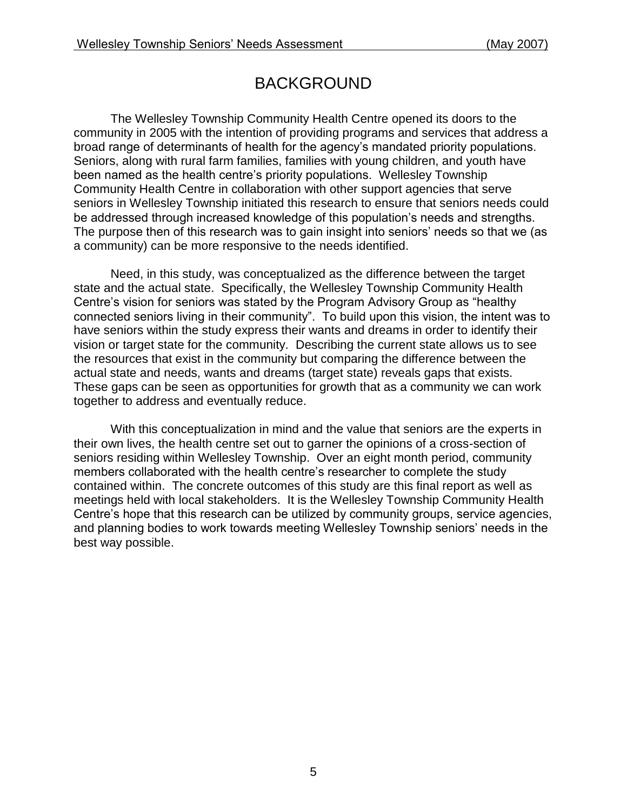# BACKGROUND

The Wellesley Township Community Health Centre opened its doors to the community in 2005 with the intention of providing programs and services that address a broad range of determinants of health for the agency's mandated priority populations. Seniors, along with rural farm families, families with young children, and youth have been named as the health centre's priority populations. Wellesley Township Community Health Centre in collaboration with other support agencies that serve seniors in Wellesley Township initiated this research to ensure that seniors needs could be addressed through increased knowledge of this population's needs and strengths. The purpose then of this research was to gain insight into seniors' needs so that we (as a community) can be more responsive to the needs identified.

Need, in this study, was conceptualized as the difference between the target state and the actual state. Specifically, the Wellesley Township Community Health Centre's vision for seniors was stated by the Program Advisory Group as "healthy connected seniors living in their community". To build upon this vision, the intent was to have seniors within the study express their wants and dreams in order to identify their vision or target state for the community. Describing the current state allows us to see the resources that exist in the community but comparing the difference between the actual state and needs, wants and dreams (target state) reveals gaps that exists. These gaps can be seen as opportunities for growth that as a community we can work together to address and eventually reduce.

With this conceptualization in mind and the value that seniors are the experts in their own lives, the health centre set out to garner the opinions of a cross-section of seniors residing within Wellesley Township. Over an eight month period, community members collaborated with the health centre's researcher to complete the study contained within. The concrete outcomes of this study are this final report as well as meetings held with local stakeholders. It is the Wellesley Township Community Health Centre's hope that this research can be utilized by community groups, service agencies, and planning bodies to work towards meeting Wellesley Township seniors' needs in the best way possible.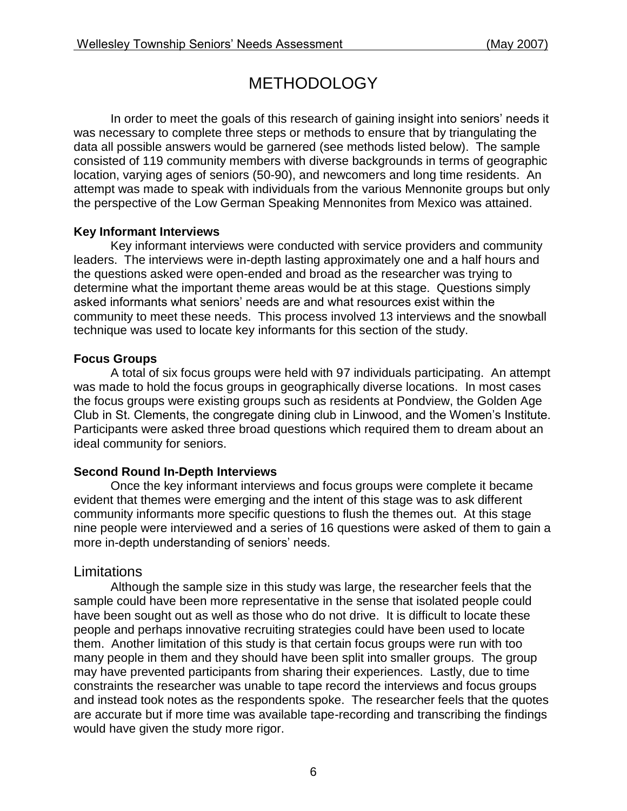# **METHODOLOGY**

In order to meet the goals of this research of gaining insight into seniors' needs it was necessary to complete three steps or methods to ensure that by triangulating the data all possible answers would be garnered (see methods listed below). The sample consisted of 119 community members with diverse backgrounds in terms of geographic location, varying ages of seniors (50-90), and newcomers and long time residents. An attempt was made to speak with individuals from the various Mennonite groups but only the perspective of the Low German Speaking Mennonites from Mexico was attained.

### **Key Informant Interviews**

Key informant interviews were conducted with service providers and community leaders. The interviews were in-depth lasting approximately one and a half hours and the questions asked were open-ended and broad as the researcher was trying to determine what the important theme areas would be at this stage. Questions simply asked informants what seniors' needs are and what resources exist within the community to meet these needs. This process involved 13 interviews and the snowball technique was used to locate key informants for this section of the study.

### **Focus Groups**

A total of six focus groups were held with 97 individuals participating. An attempt was made to hold the focus groups in geographically diverse locations. In most cases the focus groups were existing groups such as residents at Pondview, the Golden Age Club in St. Clements, the congregate dining club in Linwood, and the Women's Institute. Participants were asked three broad questions which required them to dream about an ideal community for seniors.

### **Second Round In-Depth Interviews**

Once the key informant interviews and focus groups were complete it became evident that themes were emerging and the intent of this stage was to ask different community informants more specific questions to flush the themes out. At this stage nine people were interviewed and a series of 16 questions were asked of them to gain a more in-depth understanding of seniors' needs.

## **Limitations**

Although the sample size in this study was large, the researcher feels that the sample could have been more representative in the sense that isolated people could have been sought out as well as those who do not drive. It is difficult to locate these people and perhaps innovative recruiting strategies could have been used to locate them. Another limitation of this study is that certain focus groups were run with too many people in them and they should have been split into smaller groups. The group may have prevented participants from sharing their experiences. Lastly, due to time constraints the researcher was unable to tape record the interviews and focus groups and instead took notes as the respondents spoke. The researcher feels that the quotes are accurate but if more time was available tape-recording and transcribing the findings would have given the study more rigor.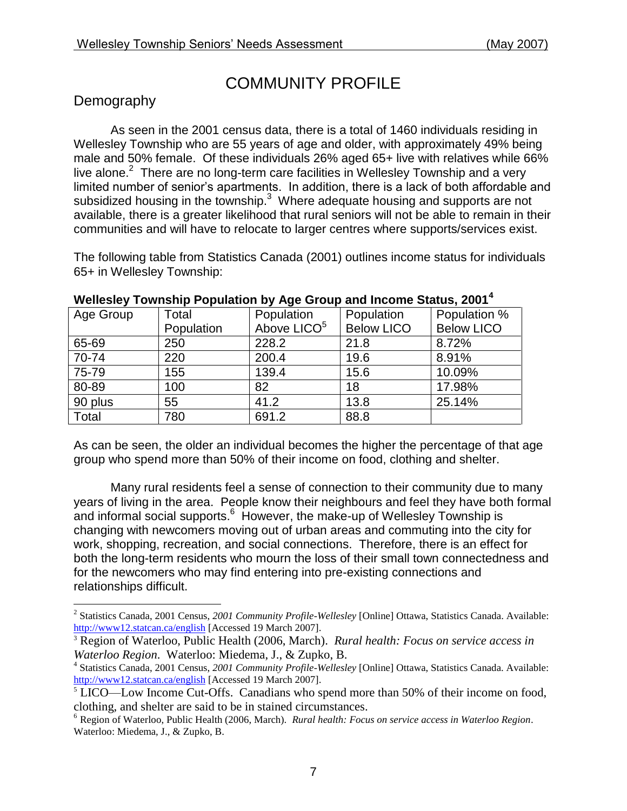# COMMUNITY PROFILE

## **Demography**

As seen in the 2001 census data, there is a total of 1460 individuals residing in Wellesley Township who are 55 years of age and older, with approximately 49% being male and 50% female. Of these individuals 26% aged 65+ live with relatives while 66% live alone. $2$  There are no long-term care facilities in Wellesley Township and a very limited number of senior's apartments. In addition, there is a lack of both affordable and subsidized housing in the township. $3\,$  Where adequate housing and supports are not available, there is a greater likelihood that rural seniors will not be able to remain in their communities and will have to relocate to larger centres where supports/services exist.

The following table from Statistics Canada (2001) outlines income status for individuals 65+ in Wellesley Township:

| Age Group | Total      | Population              | Population        | Population %      |
|-----------|------------|-------------------------|-------------------|-------------------|
|           | Population | Above LICO <sup>5</sup> | <b>Below LICO</b> | <b>Below LICO</b> |
| 65-69     | 250        | 228.2                   | 21.8              | 8.72%             |
| 70-74     | 220        | 200.4                   | 19.6              | 8.91%             |
| 75-79     | 155        | 139.4                   | 15.6              | 10.09%            |
| 80-89     | 100        | 82                      | 18                | 17.98%            |
| 90 plus   | 55         | 41.2                    | 13.8              | 25.14%            |
| Total     | 780        | 691.2                   | 88.8              |                   |

#### **Wellesley Township Population by Age Group and Income Status, 2001<sup>4</sup>**

As can be seen, the older an individual becomes the higher the percentage of that age group who spend more than 50% of their income on food, clothing and shelter.

Many rural residents feel a sense of connection to their community due to many years of living in the area. People know their neighbours and feel they have both formal and informal social supports.<sup>6</sup> However, the make-up of Wellesley Township is changing with newcomers moving out of urban areas and commuting into the city for work, shopping, recreation, and social connections. Therefore, there is an effect for both the long-term residents who mourn the loss of their small town connectedness and for the newcomers who may find entering into pre-existing connections and relationships difficult.

 2 Statistics Canada, 2001 Census, *2001 Community Profile-Wellesley* [Online] Ottawa, Statistics Canada. Available: <http://www12.statcan.ca/english> [Accessed 19 March 2007].

<sup>3</sup> Region of Waterloo, Public Health (2006, March). *Rural health: Focus on service access in Waterloo Region*. Waterloo: Miedema, J., & Zupko, B.

<sup>4</sup> Statistics Canada, 2001 Census, *2001 Community Profile-Wellesley* [Online] Ottawa, Statistics Canada. Available: <http://www12.statcan.ca/english> [Accessed 19 March 2007].

<sup>&</sup>lt;sup>5</sup> LICO—Low Income Cut-Offs. Canadians who spend more than 50% of their income on food, clothing, and shelter are said to be in stained circumstances.

<sup>6</sup> Region of Waterloo, Public Health (2006, March). *Rural health: Focus on service access in Waterloo Region*. Waterloo: Miedema, J., & Zupko, B.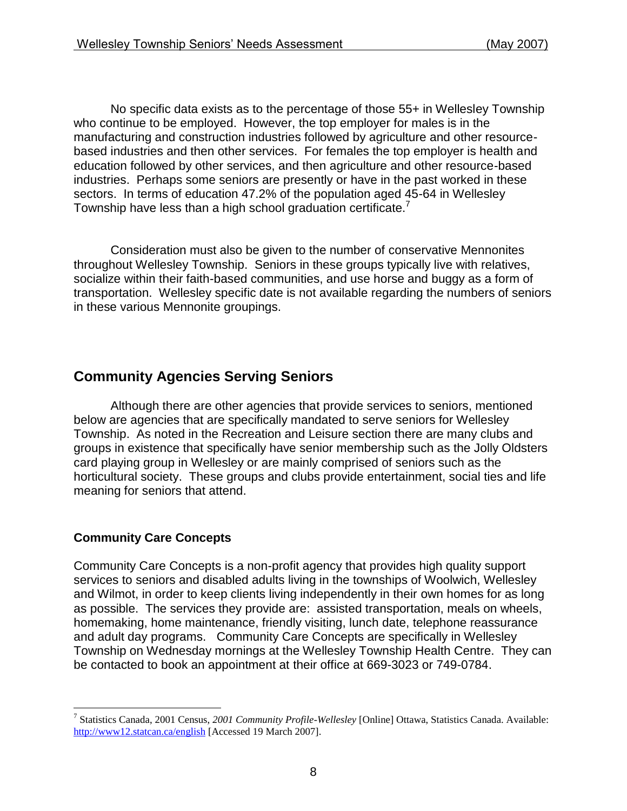No specific data exists as to the percentage of those 55+ in Wellesley Township who continue to be employed. However, the top employer for males is in the manufacturing and construction industries followed by agriculture and other resourcebased industries and then other services. For females the top employer is health and education followed by other services, and then agriculture and other resource-based industries. Perhaps some seniors are presently or have in the past worked in these sectors. In terms of education 47.2% of the population aged 45-64 in Wellesley Township have less than a high school graduation certificate.<sup>7</sup>

Consideration must also be given to the number of conservative Mennonites throughout Wellesley Township. Seniors in these groups typically live with relatives, socialize within their faith-based communities, and use horse and buggy as a form of transportation. Wellesley specific date is not available regarding the numbers of seniors in these various Mennonite groupings.

## **Community Agencies Serving Seniors**

Although there are other agencies that provide services to seniors, mentioned below are agencies that are specifically mandated to serve seniors for Wellesley Township. As noted in the Recreation and Leisure section there are many clubs and groups in existence that specifically have senior membership such as the Jolly Oldsters card playing group in Wellesley or are mainly comprised of seniors such as the horticultural society. These groups and clubs provide entertainment, social ties and life meaning for seniors that attend.

### **Community Care Concepts**

Community Care Concepts is a non-profit agency that provides high quality support services to seniors and disabled adults living in the townships of Woolwich, Wellesley and Wilmot, in order to keep clients living independently in their own homes for as long as possible. The services they provide are: assisted transportation, meals on wheels, homemaking, home maintenance, friendly visiting, lunch date, telephone reassurance and adult day programs. Community Care Concepts are specifically in Wellesley Township on Wednesday mornings at the Wellesley Township Health Centre. They can be contacted to book an appointment at their office at 669-3023 or 749-0784.

 $\overline{a}$ 7 Statistics Canada, 2001 Census, *2001 Community Profile-Wellesley* [Online] Ottawa, Statistics Canada. Available: <http://www12.statcan.ca/english> [Accessed 19 March 2007].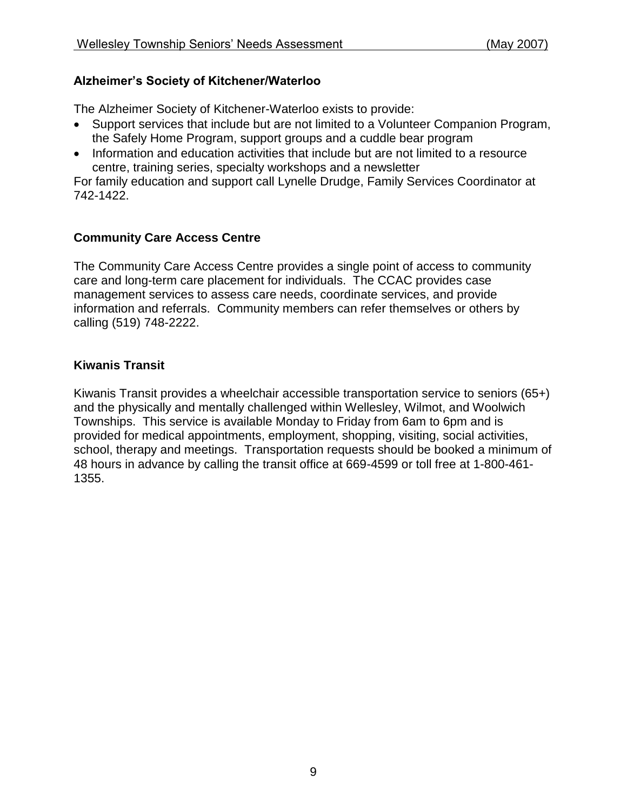### **Alzheimer's Society of Kitchener/Waterloo**

The Alzheimer Society of Kitchener-Waterloo exists to provide:

- Support services that include but are not limited to a Volunteer Companion Program, the Safely Home Program, support groups and a cuddle bear program
- Information and education activities that include but are not limited to a resource centre, training series, specialty workshops and a newsletter

For family education and support call Lynelle Drudge, Family Services Coordinator at 742-1422.

### **Community Care Access Centre**

The Community Care Access Centre provides a single point of access to community care and long-term care placement for individuals. The CCAC provides case management services to assess care needs, coordinate services, and provide information and referrals. Community members can refer themselves or others by calling (519) 748-2222.

### **Kiwanis Transit**

Kiwanis Transit provides a wheelchair accessible transportation service to seniors (65+) and the physically and mentally challenged within Wellesley, Wilmot, and Woolwich Townships. This service is available Monday to Friday from 6am to 6pm and is provided for medical appointments, employment, shopping, visiting, social activities, school, therapy and meetings. Transportation requests should be booked a minimum of 48 hours in advance by calling the transit office at 669-4599 or toll free at 1-800-461- 1355.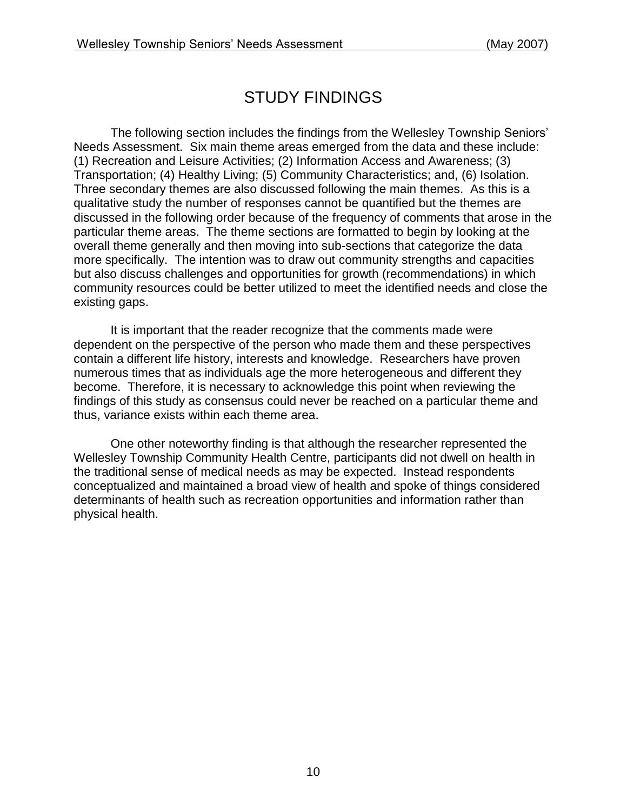# STUDY FINDINGS

The following section includes the findings from the Wellesley Township Seniors' Needs Assessment. Six main theme areas emerged from the data and these include: (1) Recreation and Leisure Activities; (2) Information Access and Awareness; (3) Transportation; (4) Healthy Living; (5) Community Characteristics; and, (6) Isolation. Three secondary themes are also discussed following the main themes. As this is a qualitative study the number of responses cannot be quantified but the themes are discussed in the following order because of the frequency of comments that arose in the particular theme areas. The theme sections are formatted to begin by looking at the overall theme generally and then moving into sub-sections that categorize the data more specifically. The intention was to draw out community strengths and capacities but also discuss challenges and opportunities for growth (recommendations) in which community resources could be better utilized to meet the identified needs and close the existing gaps.

It is important that the reader recognize that the comments made were dependent on the perspective of the person who made them and these perspectives contain a different life history, interests and knowledge. Researchers have proven numerous times that as individuals age the more heterogeneous and different they become. Therefore, it is necessary to acknowledge this point when reviewing the findings of this study as consensus could never be reached on a particular theme and thus, variance exists within each theme area.

One other noteworthy finding is that although the researcher represented the Wellesley Township Community Health Centre, participants did not dwell on health in the traditional sense of medical needs as may be expected. Instead respondents conceptualized and maintained a broad view of health and spoke of things considered determinants of health such as recreation opportunities and information rather than physical health.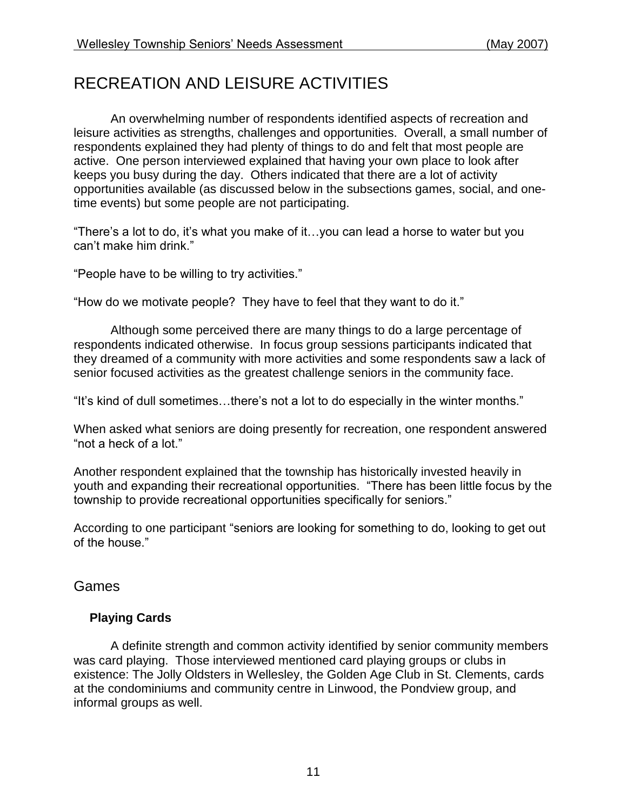# RECREATION AND LEISURE ACTIVITIES

An overwhelming number of respondents identified aspects of recreation and leisure activities as strengths, challenges and opportunities. Overall, a small number of respondents explained they had plenty of things to do and felt that most people are active. One person interviewed explained that having your own place to look after keeps you busy during the day. Others indicated that there are a lot of activity opportunities available (as discussed below in the subsections games, social, and onetime events) but some people are not participating.

"There's a lot to do, it's what you make of it…you can lead a horse to water but you can't make him drink."

"People have to be willing to try activities."

"How do we motivate people? They have to feel that they want to do it."

Although some perceived there are many things to do a large percentage of respondents indicated otherwise. In focus group sessions participants indicated that they dreamed of a community with more activities and some respondents saw a lack of senior focused activities as the greatest challenge seniors in the community face.

"It's kind of dull sometimes…there's not a lot to do especially in the winter months."

When asked what seniors are doing presently for recreation, one respondent answered "not a heck of a lot."

Another respondent explained that the township has historically invested heavily in youth and expanding their recreational opportunities. "There has been little focus by the township to provide recreational opportunities specifically for seniors."

According to one participant "seniors are looking for something to do, looking to get out of the house."

Games

### **Playing Cards**

A definite strength and common activity identified by senior community members was card playing. Those interviewed mentioned card playing groups or clubs in existence: The Jolly Oldsters in Wellesley, the Golden Age Club in St. Clements, cards at the condominiums and community centre in Linwood, the Pondview group, and informal groups as well.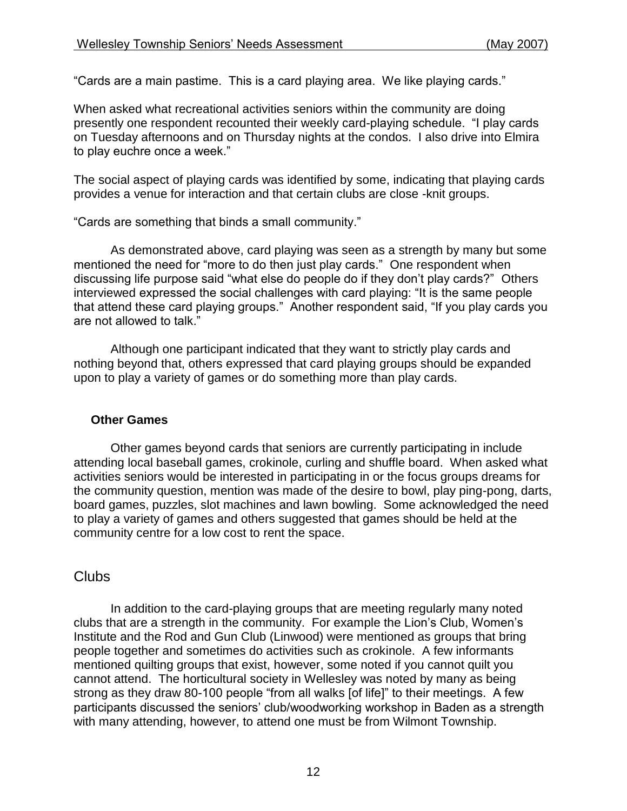"Cards are a main pastime. This is a card playing area. We like playing cards."

When asked what recreational activities seniors within the community are doing presently one respondent recounted their weekly card-playing schedule. "I play cards on Tuesday afternoons and on Thursday nights at the condos. I also drive into Elmira to play euchre once a week."

The social aspect of playing cards was identified by some, indicating that playing cards provides a venue for interaction and that certain clubs are close -knit groups.

"Cards are something that binds a small community."

As demonstrated above, card playing was seen as a strength by many but some mentioned the need for "more to do then just play cards." One respondent when discussing life purpose said "what else do people do if they don't play cards?" Others interviewed expressed the social challenges with card playing: "It is the same people that attend these card playing groups." Another respondent said, "If you play cards you are not allowed to talk."

Although one participant indicated that they want to strictly play cards and nothing beyond that, others expressed that card playing groups should be expanded upon to play a variety of games or do something more than play cards.

### **Other Games**

Other games beyond cards that seniors are currently participating in include attending local baseball games, crokinole, curling and shuffle board. When asked what activities seniors would be interested in participating in or the focus groups dreams for the community question, mention was made of the desire to bowl, play ping-pong, darts, board games, puzzles, slot machines and lawn bowling. Some acknowledged the need to play a variety of games and others suggested that games should be held at the community centre for a low cost to rent the space.

### **Clubs**

In addition to the card-playing groups that are meeting regularly many noted clubs that are a strength in the community. For example the Lion's Club, Women's Institute and the Rod and Gun Club (Linwood) were mentioned as groups that bring people together and sometimes do activities such as crokinole. A few informants mentioned quilting groups that exist, however, some noted if you cannot quilt you cannot attend. The horticultural society in Wellesley was noted by many as being strong as they draw 80-100 people "from all walks [of life]" to their meetings. A few participants discussed the seniors' club/woodworking workshop in Baden as a strength with many attending, however, to attend one must be from Wilmont Township.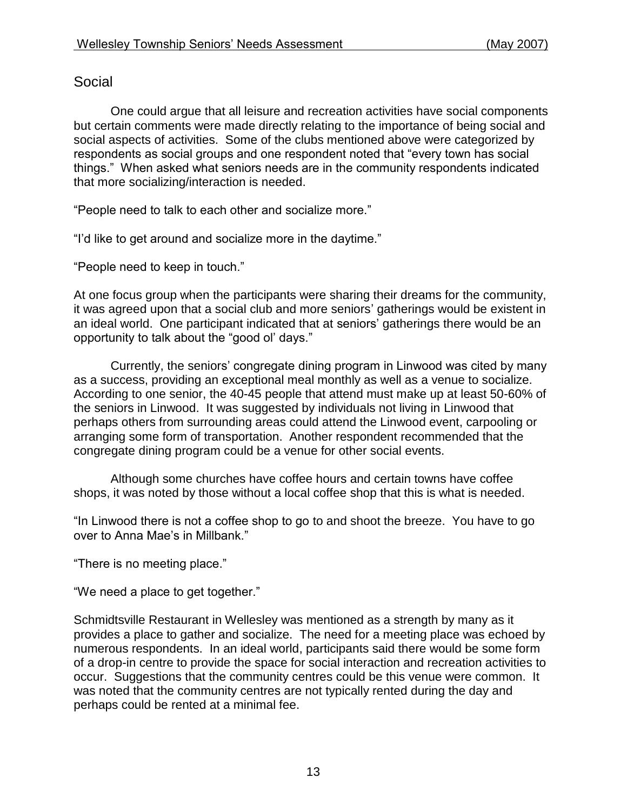## Social

One could argue that all leisure and recreation activities have social components but certain comments were made directly relating to the importance of being social and social aspects of activities. Some of the clubs mentioned above were categorized by respondents as social groups and one respondent noted that "every town has social things." When asked what seniors needs are in the community respondents indicated that more socializing/interaction is needed.

"People need to talk to each other and socialize more."

"I'd like to get around and socialize more in the daytime."

"People need to keep in touch."

At one focus group when the participants were sharing their dreams for the community, it was agreed upon that a social club and more seniors' gatherings would be existent in an ideal world. One participant indicated that at seniors' gatherings there would be an opportunity to talk about the "good ol' days."

Currently, the seniors' congregate dining program in Linwood was cited by many as a success, providing an exceptional meal monthly as well as a venue to socialize. According to one senior, the 40-45 people that attend must make up at least 50-60% of the seniors in Linwood. It was suggested by individuals not living in Linwood that perhaps others from surrounding areas could attend the Linwood event, carpooling or arranging some form of transportation. Another respondent recommended that the congregate dining program could be a venue for other social events.

Although some churches have coffee hours and certain towns have coffee shops, it was noted by those without a local coffee shop that this is what is needed.

"In Linwood there is not a coffee shop to go to and shoot the breeze. You have to go over to Anna Mae's in Millbank."

"There is no meeting place."

"We need a place to get together."

Schmidtsville Restaurant in Wellesley was mentioned as a strength by many as it provides a place to gather and socialize. The need for a meeting place was echoed by numerous respondents. In an ideal world, participants said there would be some form of a drop-in centre to provide the space for social interaction and recreation activities to occur. Suggestions that the community centres could be this venue were common. It was noted that the community centres are not typically rented during the day and perhaps could be rented at a minimal fee.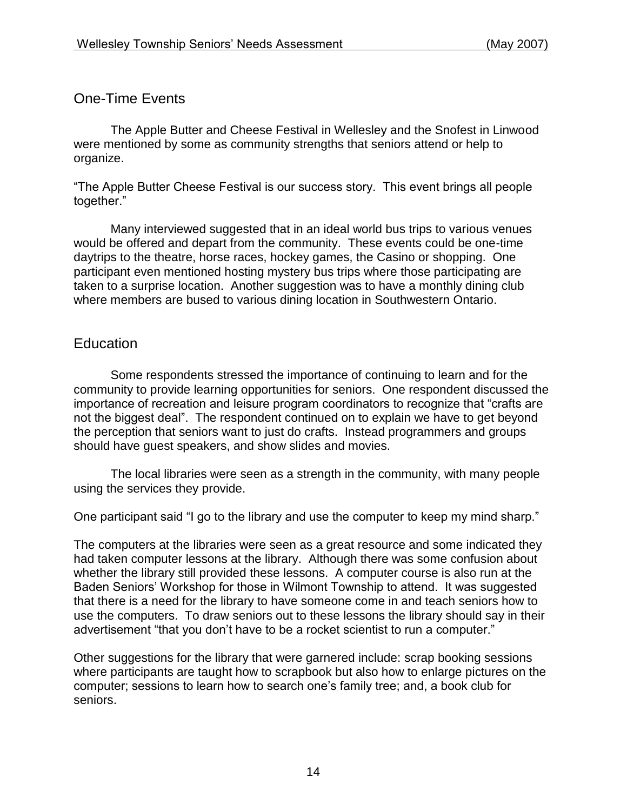### One-Time Events

The Apple Butter and Cheese Festival in Wellesley and the Snofest in Linwood were mentioned by some as community strengths that seniors attend or help to organize.

"The Apple Butter Cheese Festival is our success story. This event brings all people together."

Many interviewed suggested that in an ideal world bus trips to various venues would be offered and depart from the community. These events could be one-time daytrips to the theatre, horse races, hockey games, the Casino or shopping. One participant even mentioned hosting mystery bus trips where those participating are taken to a surprise location. Another suggestion was to have a monthly dining club where members are bused to various dining location in Southwestern Ontario.

### **Education**

Some respondents stressed the importance of continuing to learn and for the community to provide learning opportunities for seniors. One respondent discussed the importance of recreation and leisure program coordinators to recognize that "crafts are not the biggest deal". The respondent continued on to explain we have to get beyond the perception that seniors want to just do crafts. Instead programmers and groups should have guest speakers, and show slides and movies.

The local libraries were seen as a strength in the community, with many people using the services they provide.

One participant said "I go to the library and use the computer to keep my mind sharp."

The computers at the libraries were seen as a great resource and some indicated they had taken computer lessons at the library. Although there was some confusion about whether the library still provided these lessons. A computer course is also run at the Baden Seniors' Workshop for those in Wilmont Township to attend. It was suggested that there is a need for the library to have someone come in and teach seniors how to use the computers. To draw seniors out to these lessons the library should say in their advertisement "that you don't have to be a rocket scientist to run a computer."

Other suggestions for the library that were garnered include: scrap booking sessions where participants are taught how to scrapbook but also how to enlarge pictures on the computer; sessions to learn how to search one's family tree; and, a book club for seniors.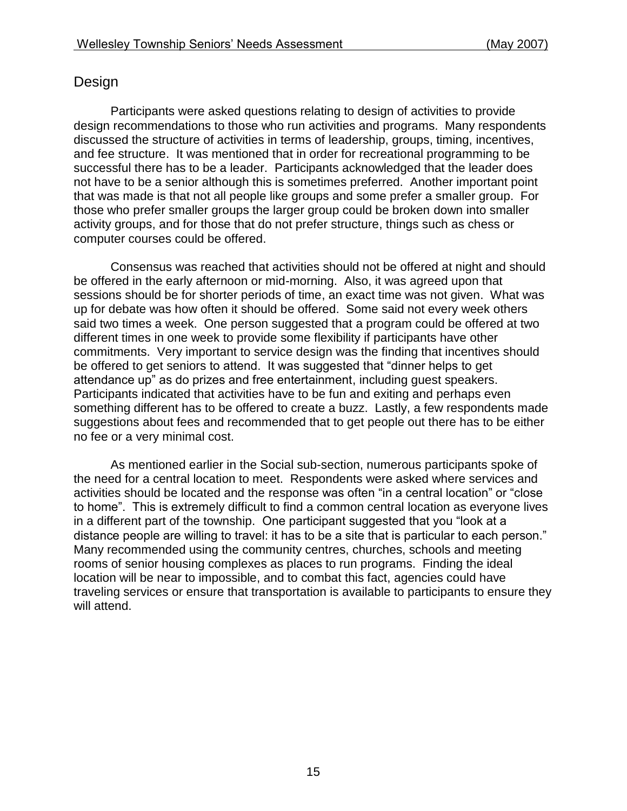### Design

Participants were asked questions relating to design of activities to provide design recommendations to those who run activities and programs. Many respondents discussed the structure of activities in terms of leadership, groups, timing, incentives, and fee structure. It was mentioned that in order for recreational programming to be successful there has to be a leader. Participants acknowledged that the leader does not have to be a senior although this is sometimes preferred. Another important point that was made is that not all people like groups and some prefer a smaller group. For those who prefer smaller groups the larger group could be broken down into smaller activity groups, and for those that do not prefer structure, things such as chess or computer courses could be offered.

Consensus was reached that activities should not be offered at night and should be offered in the early afternoon or mid-morning. Also, it was agreed upon that sessions should be for shorter periods of time, an exact time was not given. What was up for debate was how often it should be offered. Some said not every week others said two times a week. One person suggested that a program could be offered at two different times in one week to provide some flexibility if participants have other commitments. Very important to service design was the finding that incentives should be offered to get seniors to attend. It was suggested that "dinner helps to get attendance up" as do prizes and free entertainment, including guest speakers. Participants indicated that activities have to be fun and exiting and perhaps even something different has to be offered to create a buzz. Lastly, a few respondents made suggestions about fees and recommended that to get people out there has to be either no fee or a very minimal cost.

As mentioned earlier in the Social sub-section, numerous participants spoke of the need for a central location to meet. Respondents were asked where services and activities should be located and the response was often "in a central location" or "close to home". This is extremely difficult to find a common central location as everyone lives in a different part of the township. One participant suggested that you "look at a distance people are willing to travel: it has to be a site that is particular to each person." Many recommended using the community centres, churches, schools and meeting rooms of senior housing complexes as places to run programs. Finding the ideal location will be near to impossible, and to combat this fact, agencies could have traveling services or ensure that transportation is available to participants to ensure they will attend.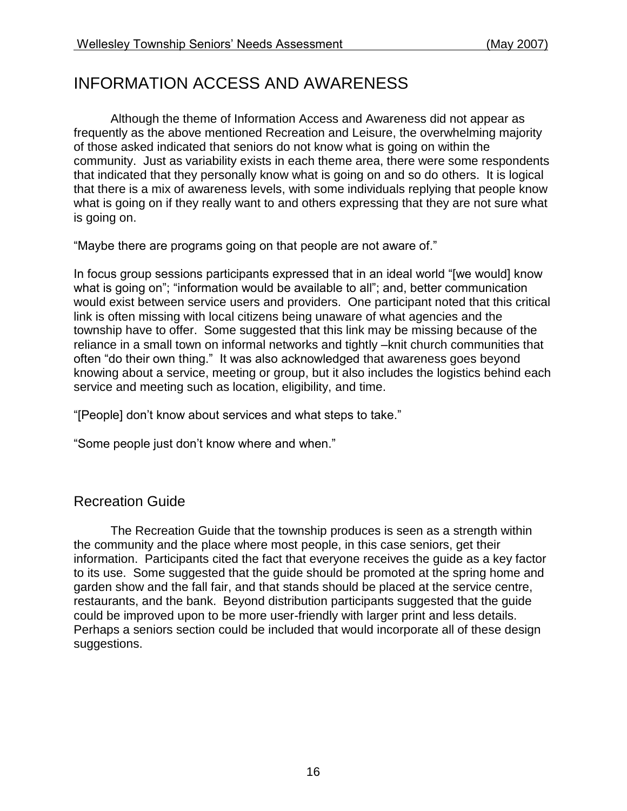# INFORMATION ACCESS AND AWARENESS

Although the theme of Information Access and Awareness did not appear as frequently as the above mentioned Recreation and Leisure, the overwhelming majority of those asked indicated that seniors do not know what is going on within the community. Just as variability exists in each theme area, there were some respondents that indicated that they personally know what is going on and so do others. It is logical that there is a mix of awareness levels, with some individuals replying that people know what is going on if they really want to and others expressing that they are not sure what is going on.

"Maybe there are programs going on that people are not aware of."

In focus group sessions participants expressed that in an ideal world "[we would] know what is going on"; "information would be available to all"; and, better communication would exist between service users and providers. One participant noted that this critical link is often missing with local citizens being unaware of what agencies and the township have to offer. Some suggested that this link may be missing because of the reliance in a small town on informal networks and tightly –knit church communities that often "do their own thing." It was also acknowledged that awareness goes beyond knowing about a service, meeting or group, but it also includes the logistics behind each service and meeting such as location, eligibility, and time.

"[People] don't know about services and what steps to take."

"Some people just don't know where and when."

### Recreation Guide

The Recreation Guide that the township produces is seen as a strength within the community and the place where most people, in this case seniors, get their information. Participants cited the fact that everyone receives the guide as a key factor to its use. Some suggested that the guide should be promoted at the spring home and garden show and the fall fair, and that stands should be placed at the service centre, restaurants, and the bank. Beyond distribution participants suggested that the guide could be improved upon to be more user-friendly with larger print and less details. Perhaps a seniors section could be included that would incorporate all of these design suggestions.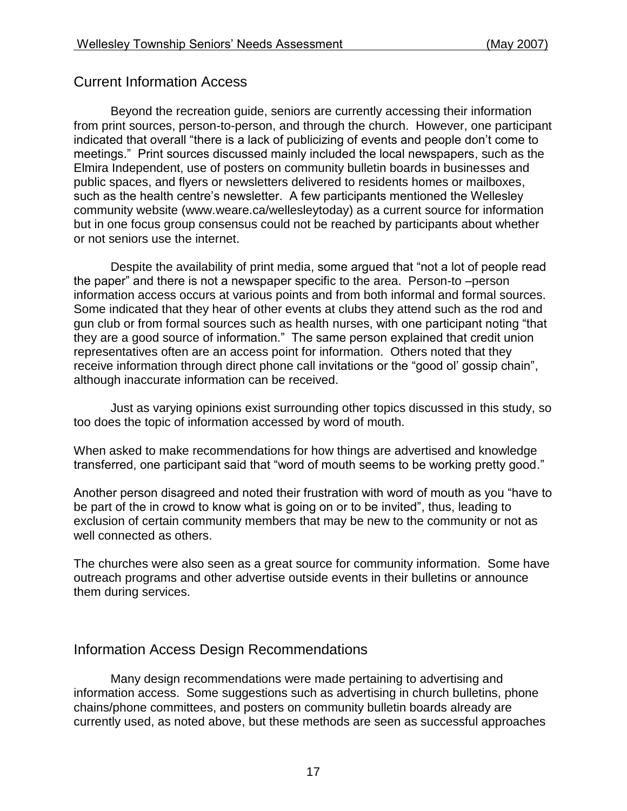### Current Information Access

Beyond the recreation guide, seniors are currently accessing their information from print sources, person-to-person, and through the church. However, one participant indicated that overall "there is a lack of publicizing of events and people don't come to meetings." Print sources discussed mainly included the local newspapers, such as the Elmira Independent, use of posters on community bulletin boards in businesses and public spaces, and flyers or newsletters delivered to residents homes or mailboxes, such as the health centre's newsletter. A few participants mentioned the Wellesley community website (www.weare.ca/wellesleytoday) as a current source for information but in one focus group consensus could not be reached by participants about whether or not seniors use the internet.

Despite the availability of print media, some argued that "not a lot of people read the paper" and there is not a newspaper specific to the area. Person-to –person information access occurs at various points and from both informal and formal sources. Some indicated that they hear of other events at clubs they attend such as the rod and gun club or from formal sources such as health nurses, with one participant noting "that they are a good source of information." The same person explained that credit union representatives often are an access point for information. Others noted that they receive information through direct phone call invitations or the "good ol' gossip chain", although inaccurate information can be received.

Just as varying opinions exist surrounding other topics discussed in this study, so too does the topic of information accessed by word of mouth.

When asked to make recommendations for how things are advertised and knowledge transferred, one participant said that "word of mouth seems to be working pretty good."

Another person disagreed and noted their frustration with word of mouth as you "have to be part of the in crowd to know what is going on or to be invited", thus, leading to exclusion of certain community members that may be new to the community or not as well connected as others.

The churches were also seen as a great source for community information. Some have outreach programs and other advertise outside events in their bulletins or announce them during services.

### Information Access Design Recommendations

Many design recommendations were made pertaining to advertising and information access. Some suggestions such as advertising in church bulletins, phone chains/phone committees, and posters on community bulletin boards already are currently used, as noted above, but these methods are seen as successful approaches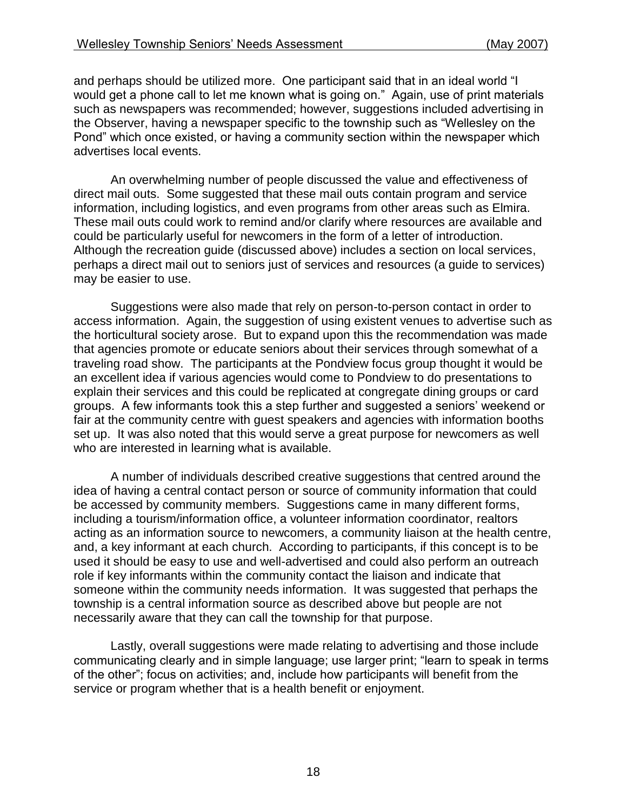and perhaps should be utilized more. One participant said that in an ideal world "I would get a phone call to let me known what is going on." Again, use of print materials such as newspapers was recommended; however, suggestions included advertising in the Observer, having a newspaper specific to the township such as "Wellesley on the Pond" which once existed, or having a community section within the newspaper which advertises local events.

An overwhelming number of people discussed the value and effectiveness of direct mail outs. Some suggested that these mail outs contain program and service information, including logistics, and even programs from other areas such as Elmira. These mail outs could work to remind and/or clarify where resources are available and could be particularly useful for newcomers in the form of a letter of introduction. Although the recreation guide (discussed above) includes a section on local services, perhaps a direct mail out to seniors just of services and resources (a guide to services) may be easier to use.

Suggestions were also made that rely on person-to-person contact in order to access information. Again, the suggestion of using existent venues to advertise such as the horticultural society arose. But to expand upon this the recommendation was made that agencies promote or educate seniors about their services through somewhat of a traveling road show. The participants at the Pondview focus group thought it would be an excellent idea if various agencies would come to Pondview to do presentations to explain their services and this could be replicated at congregate dining groups or card groups. A few informants took this a step further and suggested a seniors' weekend or fair at the community centre with guest speakers and agencies with information booths set up. It was also noted that this would serve a great purpose for newcomers as well who are interested in learning what is available.

A number of individuals described creative suggestions that centred around the idea of having a central contact person or source of community information that could be accessed by community members. Suggestions came in many different forms, including a tourism/information office, a volunteer information coordinator, realtors acting as an information source to newcomers, a community liaison at the health centre, and, a key informant at each church. According to participants, if this concept is to be used it should be easy to use and well-advertised and could also perform an outreach role if key informants within the community contact the liaison and indicate that someone within the community needs information. It was suggested that perhaps the township is a central information source as described above but people are not necessarily aware that they can call the township for that purpose.

Lastly, overall suggestions were made relating to advertising and those include communicating clearly and in simple language; use larger print; "learn to speak in terms of the other"; focus on activities; and, include how participants will benefit from the service or program whether that is a health benefit or enjoyment.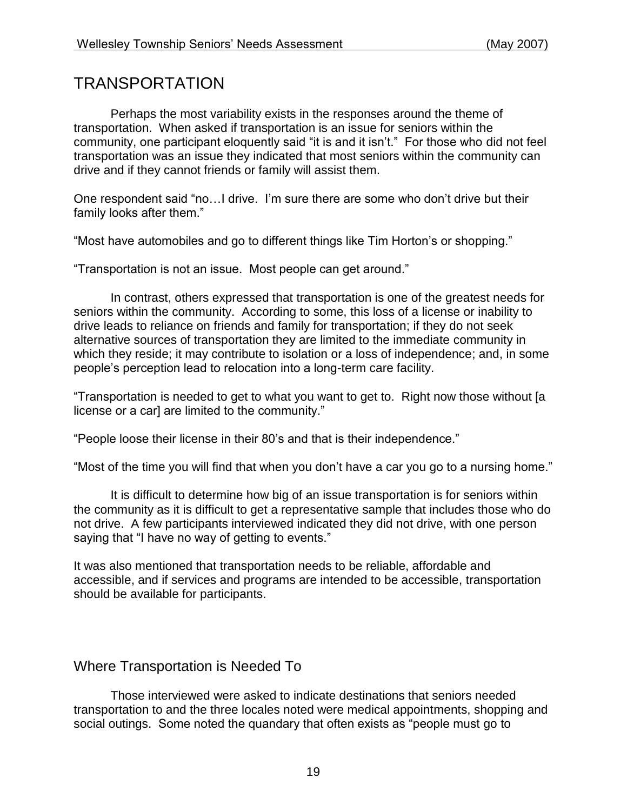# TRANSPORTATION

Perhaps the most variability exists in the responses around the theme of transportation. When asked if transportation is an issue for seniors within the community, one participant eloquently said "it is and it isn't." For those who did not feel transportation was an issue they indicated that most seniors within the community can drive and if they cannot friends or family will assist them.

One respondent said "no…I drive. I'm sure there are some who don't drive but their family looks after them."

"Most have automobiles and go to different things like Tim Horton's or shopping."

"Transportation is not an issue. Most people can get around."

In contrast, others expressed that transportation is one of the greatest needs for seniors within the community. According to some, this loss of a license or inability to drive leads to reliance on friends and family for transportation; if they do not seek alternative sources of transportation they are limited to the immediate community in which they reside; it may contribute to isolation or a loss of independence; and, in some people's perception lead to relocation into a long-term care facility.

"Transportation is needed to get to what you want to get to. Right now those without [a license or a car] are limited to the community."

"People loose their license in their 80's and that is their independence."

"Most of the time you will find that when you don't have a car you go to a nursing home."

It is difficult to determine how big of an issue transportation is for seniors within the community as it is difficult to get a representative sample that includes those who do not drive. A few participants interviewed indicated they did not drive, with one person saying that "I have no way of getting to events."

It was also mentioned that transportation needs to be reliable, affordable and accessible, and if services and programs are intended to be accessible, transportation should be available for participants.

## Where Transportation is Needed To

Those interviewed were asked to indicate destinations that seniors needed transportation to and the three locales noted were medical appointments, shopping and social outings. Some noted the quandary that often exists as "people must go to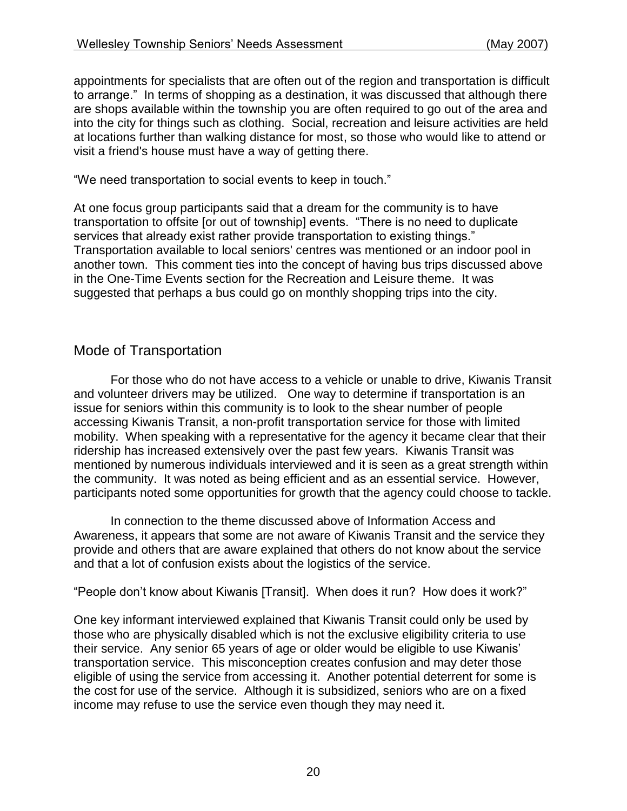appointments for specialists that are often out of the region and transportation is difficult to arrange." In terms of shopping as a destination, it was discussed that although there are shops available within the township you are often required to go out of the area and into the city for things such as clothing. Social, recreation and leisure activities are held at locations further than walking distance for most, so those who would like to attend or visit a friend's house must have a way of getting there.

"We need transportation to social events to keep in touch."

At one focus group participants said that a dream for the community is to have transportation to offsite [or out of township] events. "There is no need to duplicate services that already exist rather provide transportation to existing things." Transportation available to local seniors' centres was mentioned or an indoor pool in another town. This comment ties into the concept of having bus trips discussed above in the One-Time Events section for the Recreation and Leisure theme. It was suggested that perhaps a bus could go on monthly shopping trips into the city.

## Mode of Transportation

For those who do not have access to a vehicle or unable to drive, Kiwanis Transit and volunteer drivers may be utilized. One way to determine if transportation is an issue for seniors within this community is to look to the shear number of people accessing Kiwanis Transit, a non-profit transportation service for those with limited mobility. When speaking with a representative for the agency it became clear that their ridership has increased extensively over the past few years. Kiwanis Transit was mentioned by numerous individuals interviewed and it is seen as a great strength within the community. It was noted as being efficient and as an essential service. However, participants noted some opportunities for growth that the agency could choose to tackle.

In connection to the theme discussed above of Information Access and Awareness, it appears that some are not aware of Kiwanis Transit and the service they provide and others that are aware explained that others do not know about the service and that a lot of confusion exists about the logistics of the service.

"People don't know about Kiwanis [Transit]. When does it run? How does it work?"

One key informant interviewed explained that Kiwanis Transit could only be used by those who are physically disabled which is not the exclusive eligibility criteria to use their service. Any senior 65 years of age or older would be eligible to use Kiwanis' transportation service. This misconception creates confusion and may deter those eligible of using the service from accessing it. Another potential deterrent for some is the cost for use of the service. Although it is subsidized, seniors who are on a fixed income may refuse to use the service even though they may need it.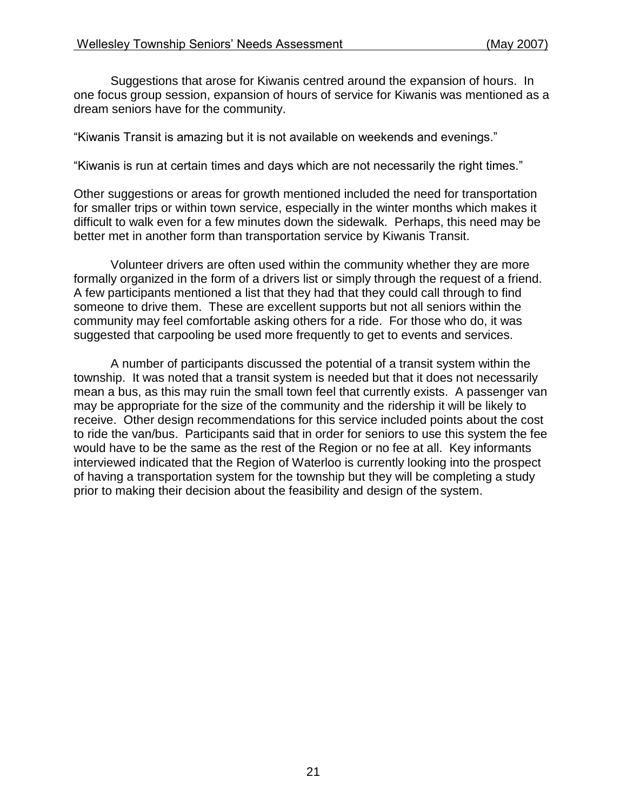Suggestions that arose for Kiwanis centred around the expansion of hours. In one focus group session, expansion of hours of service for Kiwanis was mentioned as a dream seniors have for the community.

"Kiwanis Transit is amazing but it is not available on weekends and evenings."

"Kiwanis is run at certain times and days which are not necessarily the right times."

Other suggestions or areas for growth mentioned included the need for transportation for smaller trips or within town service, especially in the winter months which makes it difficult to walk even for a few minutes down the sidewalk. Perhaps, this need may be better met in another form than transportation service by Kiwanis Transit.

Volunteer drivers are often used within the community whether they are more formally organized in the form of a drivers list or simply through the request of a friend. A few participants mentioned a list that they had that they could call through to find someone to drive them. These are excellent supports but not all seniors within the community may feel comfortable asking others for a ride. For those who do, it was suggested that carpooling be used more frequently to get to events and services.

A number of participants discussed the potential of a transit system within the township. It was noted that a transit system is needed but that it does not necessarily mean a bus, as this may ruin the small town feel that currently exists. A passenger van may be appropriate for the size of the community and the ridership it will be likely to receive. Other design recommendations for this service included points about the cost to ride the van/bus. Participants said that in order for seniors to use this system the fee would have to be the same as the rest of the Region or no fee at all. Key informants interviewed indicated that the Region of Waterloo is currently looking into the prospect of having a transportation system for the township but they will be completing a study prior to making their decision about the feasibility and design of the system.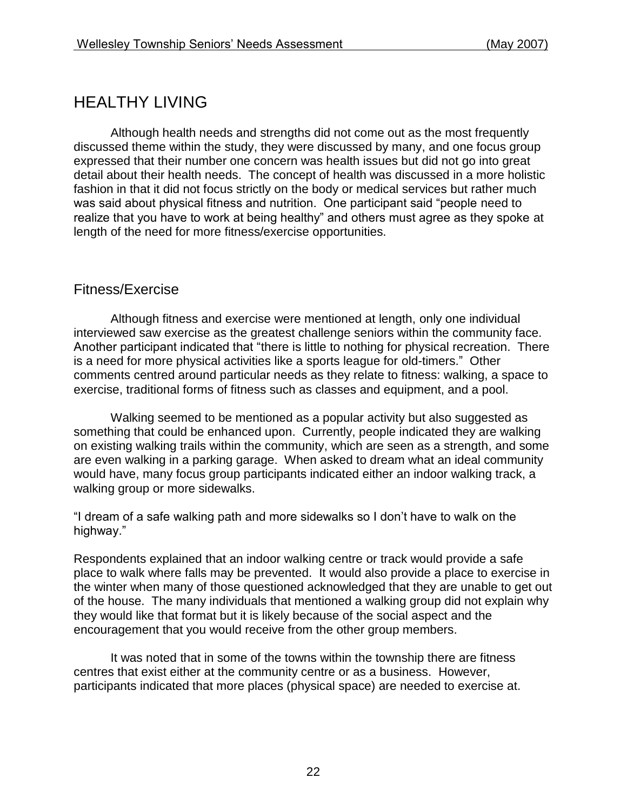# HEALTHY LIVING

Although health needs and strengths did not come out as the most frequently discussed theme within the study, they were discussed by many, and one focus group expressed that their number one concern was health issues but did not go into great detail about their health needs. The concept of health was discussed in a more holistic fashion in that it did not focus strictly on the body or medical services but rather much was said about physical fitness and nutrition. One participant said "people need to realize that you have to work at being healthy" and others must agree as they spoke at length of the need for more fitness/exercise opportunities.

### Fitness/Exercise

Although fitness and exercise were mentioned at length, only one individual interviewed saw exercise as the greatest challenge seniors within the community face. Another participant indicated that "there is little to nothing for physical recreation. There is a need for more physical activities like a sports league for old-timers." Other comments centred around particular needs as they relate to fitness: walking, a space to exercise, traditional forms of fitness such as classes and equipment, and a pool.

Walking seemed to be mentioned as a popular activity but also suggested as something that could be enhanced upon. Currently, people indicated they are walking on existing walking trails within the community, which are seen as a strength, and some are even walking in a parking garage. When asked to dream what an ideal community would have, many focus group participants indicated either an indoor walking track, a walking group or more sidewalks.

"I dream of a safe walking path and more sidewalks so I don't have to walk on the highway."

Respondents explained that an indoor walking centre or track would provide a safe place to walk where falls may be prevented. It would also provide a place to exercise in the winter when many of those questioned acknowledged that they are unable to get out of the house. The many individuals that mentioned a walking group did not explain why they would like that format but it is likely because of the social aspect and the encouragement that you would receive from the other group members.

It was noted that in some of the towns within the township there are fitness centres that exist either at the community centre or as a business. However, participants indicated that more places (physical space) are needed to exercise at.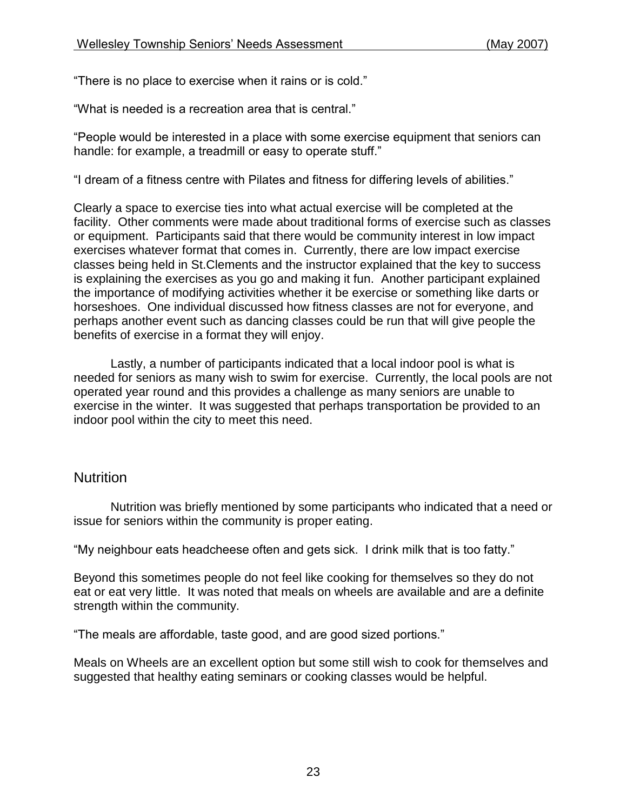"There is no place to exercise when it rains or is cold."

"What is needed is a recreation area that is central."

"People would be interested in a place with some exercise equipment that seniors can handle: for example, a treadmill or easy to operate stuff."

"I dream of a fitness centre with Pilates and fitness for differing levels of abilities."

Clearly a space to exercise ties into what actual exercise will be completed at the facility. Other comments were made about traditional forms of exercise such as classes or equipment. Participants said that there would be community interest in low impact exercises whatever format that comes in. Currently, there are low impact exercise classes being held in St.Clements and the instructor explained that the key to success is explaining the exercises as you go and making it fun. Another participant explained the importance of modifying activities whether it be exercise or something like darts or horseshoes. One individual discussed how fitness classes are not for everyone, and perhaps another event such as dancing classes could be run that will give people the benefits of exercise in a format they will enjoy.

Lastly, a number of participants indicated that a local indoor pool is what is needed for seniors as many wish to swim for exercise. Currently, the local pools are not operated year round and this provides a challenge as many seniors are unable to exercise in the winter. It was suggested that perhaps transportation be provided to an indoor pool within the city to meet this need.

### Nutrition

Nutrition was briefly mentioned by some participants who indicated that a need or issue for seniors within the community is proper eating.

"My neighbour eats headcheese often and gets sick. I drink milk that is too fatty."

Beyond this sometimes people do not feel like cooking for themselves so they do not eat or eat very little. It was noted that meals on wheels are available and are a definite strength within the community.

"The meals are affordable, taste good, and are good sized portions."

Meals on Wheels are an excellent option but some still wish to cook for themselves and suggested that healthy eating seminars or cooking classes would be helpful.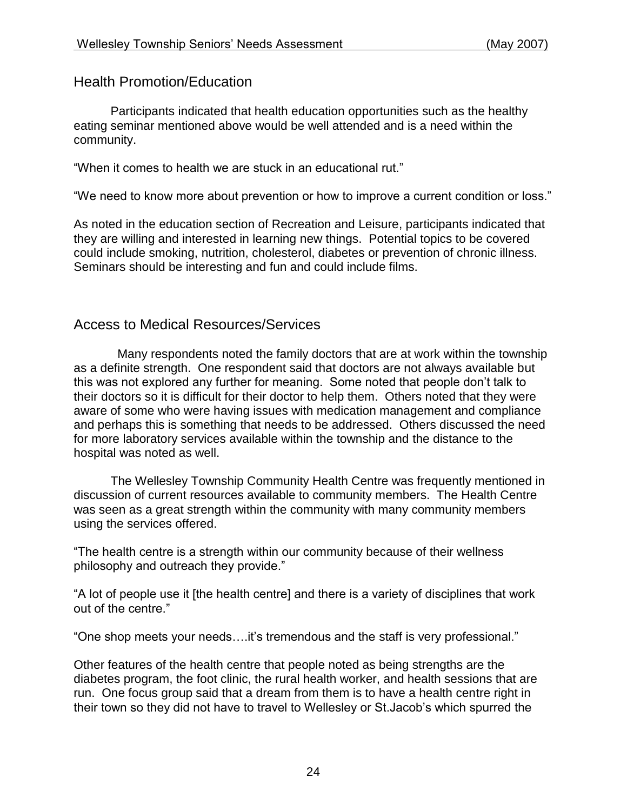Health Promotion/Education

Participants indicated that health education opportunities such as the healthy eating seminar mentioned above would be well attended and is a need within the community.

"When it comes to health we are stuck in an educational rut."

"We need to know more about prevention or how to improve a current condition or loss."

As noted in the education section of Recreation and Leisure, participants indicated that they are willing and interested in learning new things. Potential topics to be covered could include smoking, nutrition, cholesterol, diabetes or prevention of chronic illness. Seminars should be interesting and fun and could include films.

### Access to Medical Resources/Services

 Many respondents noted the family doctors that are at work within the township as a definite strength. One respondent said that doctors are not always available but this was not explored any further for meaning. Some noted that people don't talk to their doctors so it is difficult for their doctor to help them. Others noted that they were aware of some who were having issues with medication management and compliance and perhaps this is something that needs to be addressed. Others discussed the need for more laboratory services available within the township and the distance to the hospital was noted as well.

The Wellesley Township Community Health Centre was frequently mentioned in discussion of current resources available to community members. The Health Centre was seen as a great strength within the community with many community members using the services offered.

"The health centre is a strength within our community because of their wellness philosophy and outreach they provide."

"A lot of people use it [the health centre] and there is a variety of disciplines that work out of the centre."

"One shop meets your needs….it's tremendous and the staff is very professional."

Other features of the health centre that people noted as being strengths are the diabetes program, the foot clinic, the rural health worker, and health sessions that are run. One focus group said that a dream from them is to have a health centre right in their town so they did not have to travel to Wellesley or St.Jacob's which spurred the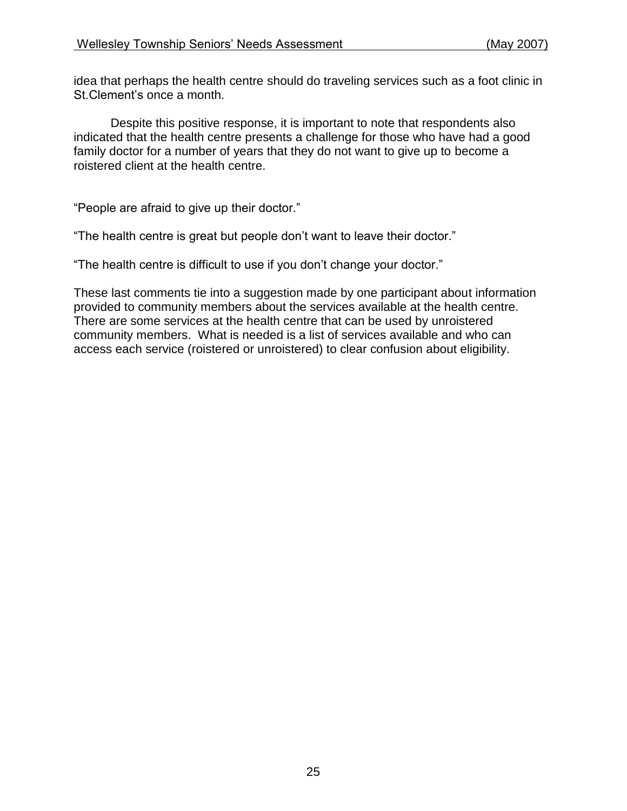idea that perhaps the health centre should do traveling services such as a foot clinic in St.Clement's once a month.

Despite this positive response, it is important to note that respondents also indicated that the health centre presents a challenge for those who have had a good family doctor for a number of years that they do not want to give up to become a roistered client at the health centre.

"People are afraid to give up their doctor."

"The health centre is great but people don't want to leave their doctor."

"The health centre is difficult to use if you don't change your doctor."

These last comments tie into a suggestion made by one participant about information provided to community members about the services available at the health centre. There are some services at the health centre that can be used by unroistered community members. What is needed is a list of services available and who can access each service (roistered or unroistered) to clear confusion about eligibility.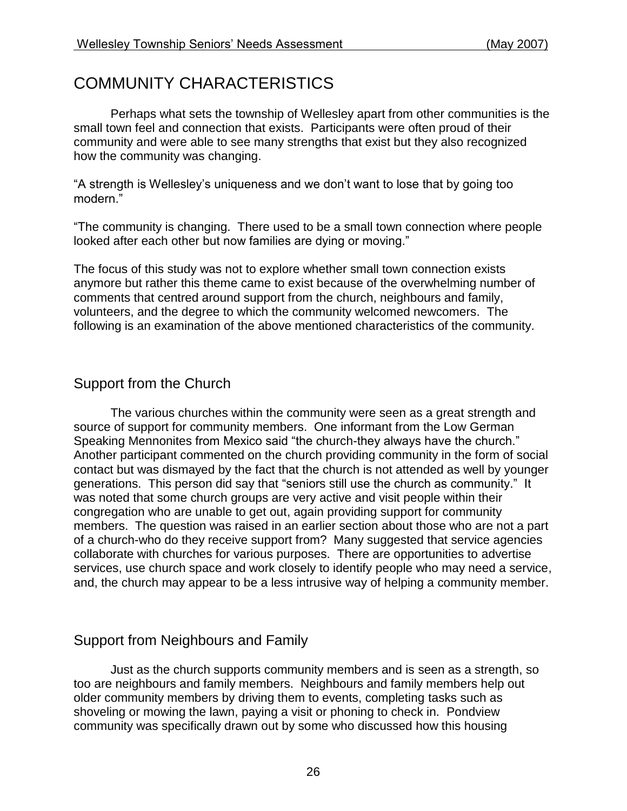# COMMUNITY CHARACTERISTICS

Perhaps what sets the township of Wellesley apart from other communities is the small town feel and connection that exists. Participants were often proud of their community and were able to see many strengths that exist but they also recognized how the community was changing.

"A strength is Wellesley's uniqueness and we don't want to lose that by going too modern."

"The community is changing. There used to be a small town connection where people looked after each other but now families are dying or moving."

The focus of this study was not to explore whether small town connection exists anymore but rather this theme came to exist because of the overwhelming number of comments that centred around support from the church, neighbours and family, volunteers, and the degree to which the community welcomed newcomers. The following is an examination of the above mentioned characteristics of the community.

## Support from the Church

The various churches within the community were seen as a great strength and source of support for community members. One informant from the Low German Speaking Mennonites from Mexico said "the church-they always have the church." Another participant commented on the church providing community in the form of social contact but was dismayed by the fact that the church is not attended as well by younger generations. This person did say that "seniors still use the church as community." It was noted that some church groups are very active and visit people within their congregation who are unable to get out, again providing support for community members. The question was raised in an earlier section about those who are not a part of a church-who do they receive support from? Many suggested that service agencies collaborate with churches for various purposes. There are opportunities to advertise services, use church space and work closely to identify people who may need a service, and, the church may appear to be a less intrusive way of helping a community member.

## Support from Neighbours and Family

Just as the church supports community members and is seen as a strength, so too are neighbours and family members. Neighbours and family members help out older community members by driving them to events, completing tasks such as shoveling or mowing the lawn, paying a visit or phoning to check in. Pondview community was specifically drawn out by some who discussed how this housing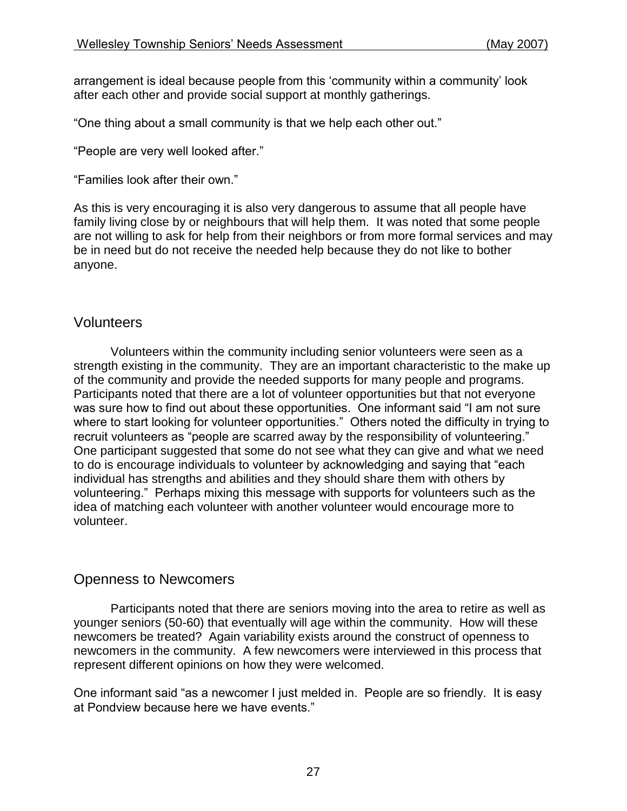arrangement is ideal because people from this 'community within a community' look after each other and provide social support at monthly gatherings.

"One thing about a small community is that we help each other out."

"People are very well looked after."

"Families look after their own."

As this is very encouraging it is also very dangerous to assume that all people have family living close by or neighbours that will help them. It was noted that some people are not willing to ask for help from their neighbors or from more formal services and may be in need but do not receive the needed help because they do not like to bother anyone.

### Volunteers

Volunteers within the community including senior volunteers were seen as a strength existing in the community. They are an important characteristic to the make up of the community and provide the needed supports for many people and programs. Participants noted that there are a lot of volunteer opportunities but that not everyone was sure how to find out about these opportunities. One informant said "I am not sure where to start looking for volunteer opportunities." Others noted the difficulty in trying to recruit volunteers as "people are scarred away by the responsibility of volunteering." One participant suggested that some do not see what they can give and what we need to do is encourage individuals to volunteer by acknowledging and saying that "each individual has strengths and abilities and they should share them with others by volunteering." Perhaps mixing this message with supports for volunteers such as the idea of matching each volunteer with another volunteer would encourage more to volunteer.

### Openness to Newcomers

Participants noted that there are seniors moving into the area to retire as well as younger seniors (50-60) that eventually will age within the community. How will these newcomers be treated? Again variability exists around the construct of openness to newcomers in the community. A few newcomers were interviewed in this process that represent different opinions on how they were welcomed.

One informant said "as a newcomer I just melded in. People are so friendly. It is easy at Pondview because here we have events."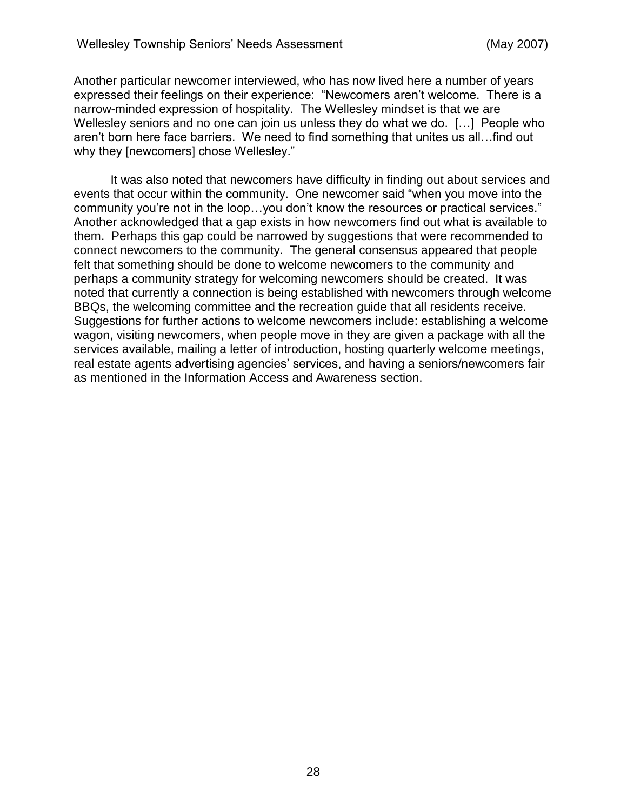Another particular newcomer interviewed, who has now lived here a number of years expressed their feelings on their experience: "Newcomers aren't welcome. There is a narrow-minded expression of hospitality. The Wellesley mindset is that we are Wellesley seniors and no one can join us unless they do what we do. [...] People who aren't born here face barriers. We need to find something that unites us all…find out why they [newcomers] chose Wellesley."

It was also noted that newcomers have difficulty in finding out about services and events that occur within the community. One newcomer said "when you move into the community you're not in the loop…you don't know the resources or practical services." Another acknowledged that a gap exists in how newcomers find out what is available to them. Perhaps this gap could be narrowed by suggestions that were recommended to connect newcomers to the community. The general consensus appeared that people felt that something should be done to welcome newcomers to the community and perhaps a community strategy for welcoming newcomers should be created. It was noted that currently a connection is being established with newcomers through welcome BBQs, the welcoming committee and the recreation guide that all residents receive. Suggestions for further actions to welcome newcomers include: establishing a welcome wagon, visiting newcomers, when people move in they are given a package with all the services available, mailing a letter of introduction, hosting quarterly welcome meetings, real estate agents advertising agencies' services, and having a seniors/newcomers fair as mentioned in the Information Access and Awareness section.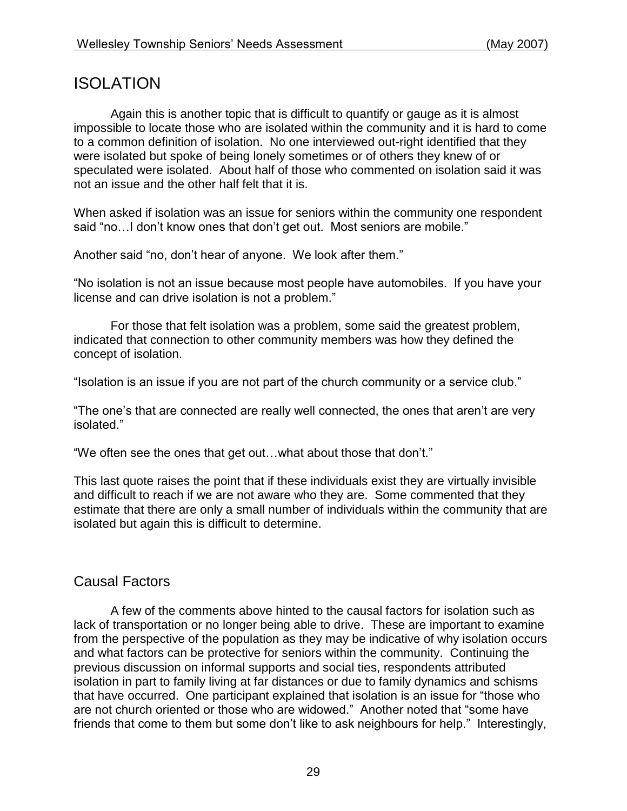# ISOLATION

Again this is another topic that is difficult to quantify or gauge as it is almost impossible to locate those who are isolated within the community and it is hard to come to a common definition of isolation. No one interviewed out-right identified that they were isolated but spoke of being lonely sometimes or of others they knew of or speculated were isolated. About half of those who commented on isolation said it was not an issue and the other half felt that it is.

When asked if isolation was an issue for seniors within the community one respondent said "no... I don't know ones that don't get out. Most seniors are mobile."

Another said "no, don't hear of anyone. We look after them."

"No isolation is not an issue because most people have automobiles. If you have your license and can drive isolation is not a problem."

For those that felt isolation was a problem, some said the greatest problem, indicated that connection to other community members was how they defined the concept of isolation.

"Isolation is an issue if you are not part of the church community or a service club."

"The one's that are connected are really well connected, the ones that aren't are very isolated."

"We often see the ones that get out…what about those that don't."

This last quote raises the point that if these individuals exist they are virtually invisible and difficult to reach if we are not aware who they are. Some commented that they estimate that there are only a small number of individuals within the community that are isolated but again this is difficult to determine.

## Causal Factors

A few of the comments above hinted to the causal factors for isolation such as lack of transportation or no longer being able to drive. These are important to examine from the perspective of the population as they may be indicative of why isolation occurs and what factors can be protective for seniors within the community. Continuing the previous discussion on informal supports and social ties, respondents attributed isolation in part to family living at far distances or due to family dynamics and schisms that have occurred. One participant explained that isolation is an issue for "those who are not church oriented or those who are widowed." Another noted that "some have friends that come to them but some don't like to ask neighbours for help." Interestingly,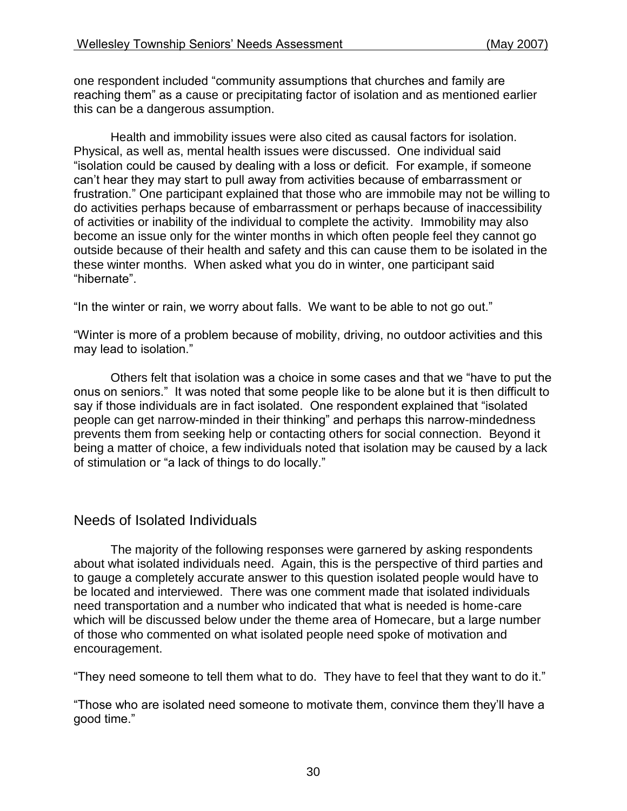one respondent included "community assumptions that churches and family are reaching them" as a cause or precipitating factor of isolation and as mentioned earlier this can be a dangerous assumption.

Health and immobility issues were also cited as causal factors for isolation. Physical, as well as, mental health issues were discussed. One individual said "isolation could be caused by dealing with a loss or deficit. For example, if someone can't hear they may start to pull away from activities because of embarrassment or frustration." One participant explained that those who are immobile may not be willing to do activities perhaps because of embarrassment or perhaps because of inaccessibility of activities or inability of the individual to complete the activity. Immobility may also become an issue only for the winter months in which often people feel they cannot go outside because of their health and safety and this can cause them to be isolated in the these winter months. When asked what you do in winter, one participant said "hibernate".

"In the winter or rain, we worry about falls. We want to be able to not go out."

"Winter is more of a problem because of mobility, driving, no outdoor activities and this may lead to isolation."

Others felt that isolation was a choice in some cases and that we "have to put the onus on seniors." It was noted that some people like to be alone but it is then difficult to say if those individuals are in fact isolated. One respondent explained that "isolated people can get narrow-minded in their thinking" and perhaps this narrow-mindedness prevents them from seeking help or contacting others for social connection. Beyond it being a matter of choice, a few individuals noted that isolation may be caused by a lack of stimulation or "a lack of things to do locally."

## Needs of Isolated Individuals

The majority of the following responses were garnered by asking respondents about what isolated individuals need. Again, this is the perspective of third parties and to gauge a completely accurate answer to this question isolated people would have to be located and interviewed. There was one comment made that isolated individuals need transportation and a number who indicated that what is needed is home-care which will be discussed below under the theme area of Homecare, but a large number of those who commented on what isolated people need spoke of motivation and encouragement.

"They need someone to tell them what to do. They have to feel that they want to do it."

"Those who are isolated need someone to motivate them, convince them they'll have a good time."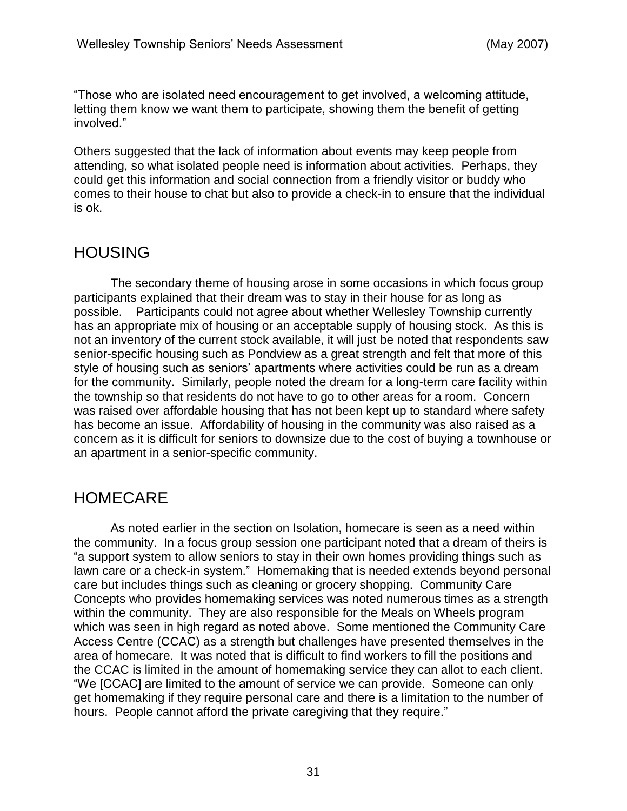"Those who are isolated need encouragement to get involved, a welcoming attitude, letting them know we want them to participate, showing them the benefit of getting involved."

Others suggested that the lack of information about events may keep people from attending, so what isolated people need is information about activities. Perhaps, they could get this information and social connection from a friendly visitor or buddy who comes to their house to chat but also to provide a check-in to ensure that the individual is ok.

# HOUSING

The secondary theme of housing arose in some occasions in which focus group participants explained that their dream was to stay in their house for as long as possible. Participants could not agree about whether Wellesley Township currently has an appropriate mix of housing or an acceptable supply of housing stock. As this is not an inventory of the current stock available, it will just be noted that respondents saw senior-specific housing such as Pondview as a great strength and felt that more of this style of housing such as seniors' apartments where activities could be run as a dream for the community. Similarly, people noted the dream for a long-term care facility within the township so that residents do not have to go to other areas for a room. Concern was raised over affordable housing that has not been kept up to standard where safety has become an issue. Affordability of housing in the community was also raised as a concern as it is difficult for seniors to downsize due to the cost of buying a townhouse or an apartment in a senior-specific community.

# HOMECARE

As noted earlier in the section on Isolation, homecare is seen as a need within the community. In a focus group session one participant noted that a dream of theirs is "a support system to allow seniors to stay in their own homes providing things such as lawn care or a check-in system." Homemaking that is needed extends beyond personal care but includes things such as cleaning or grocery shopping. Community Care Concepts who provides homemaking services was noted numerous times as a strength within the community. They are also responsible for the Meals on Wheels program which was seen in high regard as noted above. Some mentioned the Community Care Access Centre (CCAC) as a strength but challenges have presented themselves in the area of homecare. It was noted that is difficult to find workers to fill the positions and the CCAC is limited in the amount of homemaking service they can allot to each client. "We [CCAC] are limited to the amount of service we can provide. Someone can only get homemaking if they require personal care and there is a limitation to the number of hours. People cannot afford the private caregiving that they require."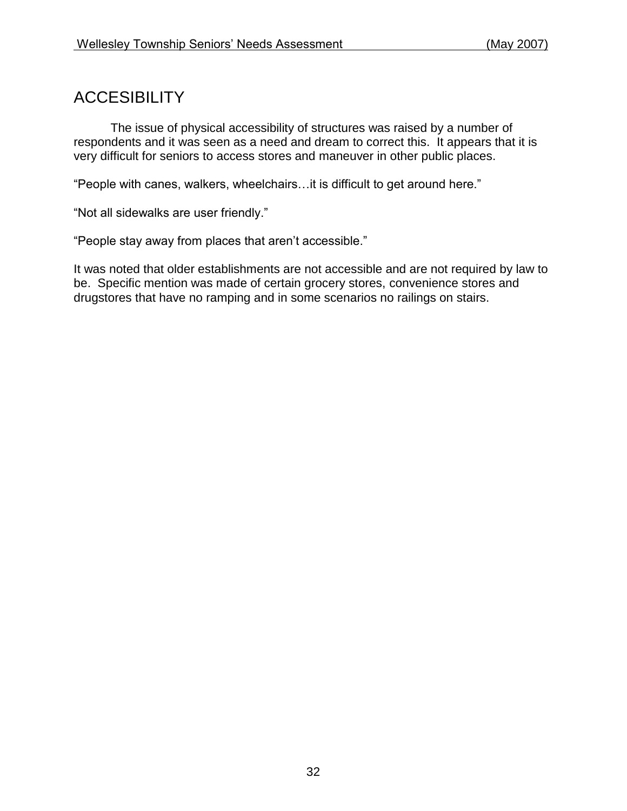# **ACCESIBILITY**

The issue of physical accessibility of structures was raised by a number of respondents and it was seen as a need and dream to correct this. It appears that it is very difficult for seniors to access stores and maneuver in other public places.

"People with canes, walkers, wheelchairs…it is difficult to get around here."

"Not all sidewalks are user friendly."

"People stay away from places that aren't accessible."

It was noted that older establishments are not accessible and are not required by law to be. Specific mention was made of certain grocery stores, convenience stores and drugstores that have no ramping and in some scenarios no railings on stairs.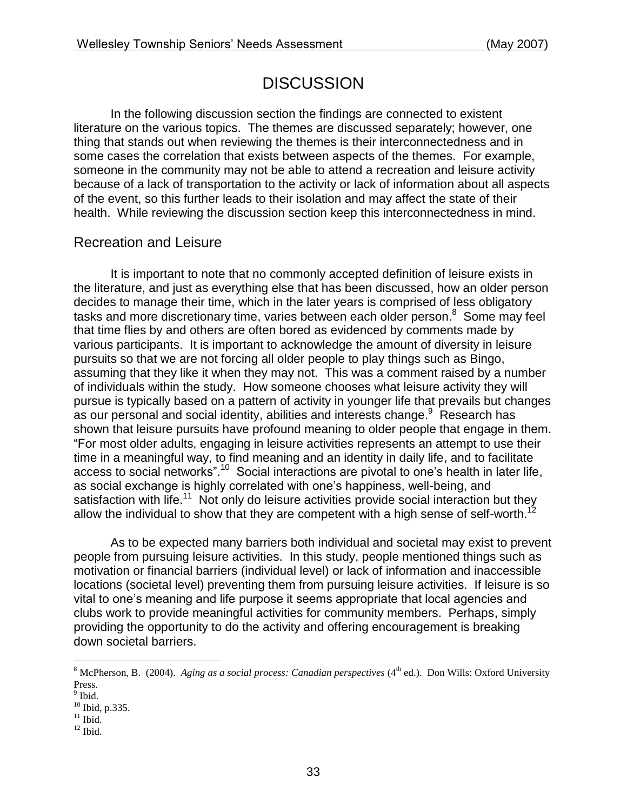# **DISCUSSION**

In the following discussion section the findings are connected to existent literature on the various topics. The themes are discussed separately; however, one thing that stands out when reviewing the themes is their interconnectedness and in some cases the correlation that exists between aspects of the themes. For example, someone in the community may not be able to attend a recreation and leisure activity because of a lack of transportation to the activity or lack of information about all aspects of the event, so this further leads to their isolation and may affect the state of their health. While reviewing the discussion section keep this interconnectedness in mind.

## Recreation and Leisure

It is important to note that no commonly accepted definition of leisure exists in the literature, and just as everything else that has been discussed, how an older person decides to manage their time, which in the later years is comprised of less obligatory tasks and more discretionary time, varies between each older person.<sup>8</sup> Some may feel that time flies by and others are often bored as evidenced by comments made by various participants. It is important to acknowledge the amount of diversity in leisure pursuits so that we are not forcing all older people to play things such as Bingo, assuming that they like it when they may not. This was a comment raised by a number of individuals within the study. How someone chooses what leisure activity they will pursue is typically based on a pattern of activity in younger life that prevails but changes as our personal and social identity, abilities and interests change.<sup>9</sup> Research has shown that leisure pursuits have profound meaning to older people that engage in them. "For most older adults, engaging in leisure activities represents an attempt to use their time in a meaningful way, to find meaning and an identity in daily life, and to facilitate access to social networks".<sup>10</sup> Social interactions are pivotal to one's health in later life, as social exchange is highly correlated with one's happiness, well-being, and satisfaction with life.<sup>11</sup> Not only do leisure activities provide social interaction but they allow the individual to show that they are competent with a high sense of self-worth.<sup>12</sup>

As to be expected many barriers both individual and societal may exist to prevent people from pursuing leisure activities. In this study, people mentioned things such as motivation or financial barriers (individual level) or lack of information and inaccessible locations (societal level) preventing them from pursuing leisure activities. If leisure is so vital to one's meaning and life purpose it seems appropriate that local agencies and clubs work to provide meaningful activities for community members. Perhaps, simply providing the opportunity to do the activity and offering encouragement is breaking down societal barriers.

 $\overline{a}$ 

 $12$  Ibid.

<sup>&</sup>lt;sup>8</sup> McPherson, B. (2004). *Aging as a social process: Canadian perspectives* (4<sup>th</sup> ed.). Don Wills: Oxford University Press.

<sup>&</sup>lt;sup>9</sup> Ibid.

 $^{10}$  Ibid, p.335.

 $11$  Ibid.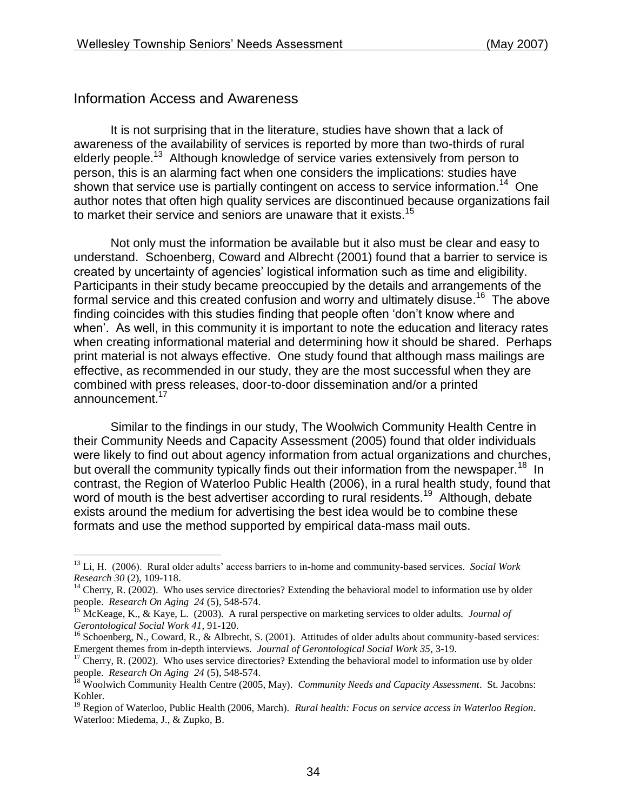### Information Access and Awareness

 $\overline{a}$ 

It is not surprising that in the literature, studies have shown that a lack of awareness of the availability of services is reported by more than two-thirds of rural elderly people.<sup>13</sup> Although knowledge of service varies extensively from person to person, this is an alarming fact when one considers the implications: studies have shown that service use is partially contingent on access to service information.<sup>14</sup> One author notes that often high quality services are discontinued because organizations fail to market their service and seniors are unaware that it exists.<sup>15</sup>

Not only must the information be available but it also must be clear and easy to understand. Schoenberg, Coward and Albrecht (2001) found that a barrier to service is created by uncertainty of agencies' logistical information such as time and eligibility. Participants in their study became preoccupied by the details and arrangements of the formal service and this created confusion and worry and ultimately disuse.<sup>16</sup> The above finding coincides with this studies finding that people often 'don't know where and when'. As well, in this community it is important to note the education and literacy rates when creating informational material and determining how it should be shared. Perhaps print material is not always effective. One study found that although mass mailings are effective, as recommended in our study, they are the most successful when they are combined with press releases, door-to-door dissemination and/or a printed announcement.<sup>17</sup>

Similar to the findings in our study, The Woolwich Community Health Centre in their Community Needs and Capacity Assessment (2005) found that older individuals were likely to find out about agency information from actual organizations and churches, but overall the community typically finds out their information from the newspaper.<sup>18</sup> In contrast, the Region of Waterloo Public Health (2006), in a rural health study, found that word of mouth is the best advertiser according to rural residents.<sup>19</sup> Although, debate exists around the medium for advertising the best idea would be to combine these formats and use the method supported by empirical data-mass mail outs.

<sup>13</sup> Li, H. (2006). Rural older adults' access barriers to in-home and community-based services. *Social Work Research 30* (2), 109-118.

 $14$  Cherry, R. (2002). Who uses service directories? Extending the behavioral model to information use by older people. *Research On Aging 24* (5), 548-574.

<sup>15</sup> McKeage, K., & Kaye, L. (2003). A rural perspective on marketing services to older adults. *Journal of Gerontological Social Work 41*, 91-120.

<sup>&</sup>lt;sup>16</sup> Schoenberg, N., Coward, R., & Albrecht, S. (2001). Attitudes of older adults about community-based services: Emergent themes from in-depth interviews. *Journal of Gerontological Social Work 35*, 3-19.

<sup>&</sup>lt;sup>17</sup> Cherry, R. (2002). Who uses service directories? Extending the behavioral model to information use by older people. *Research On Aging 24* (5), 548-574.

<sup>18</sup> Woolwich Community Health Centre (2005, May). *Community Needs and Capacity Assessment*. St. Jacobns: Kohler.

<sup>19</sup> Region of Waterloo, Public Health (2006, March). *Rural health: Focus on service access in Waterloo Region*. Waterloo: Miedema, J., & Zupko, B.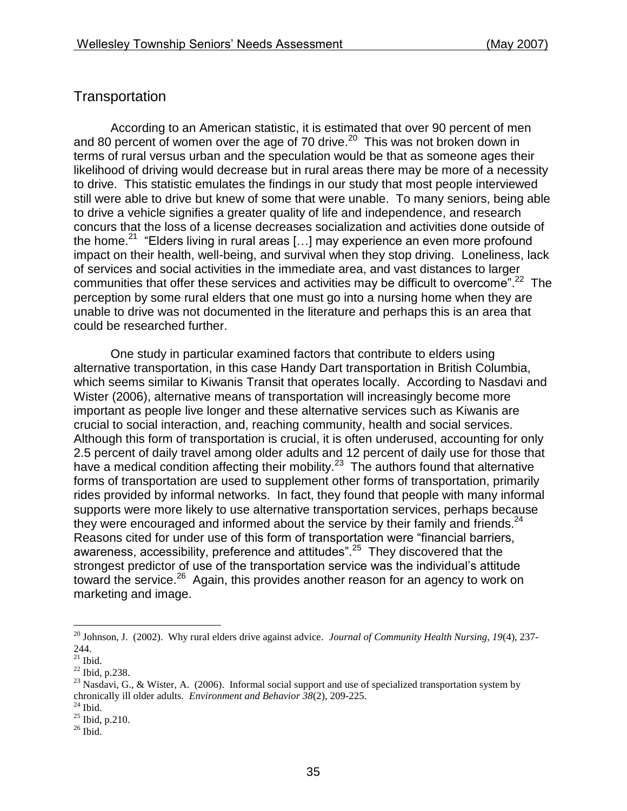## **Transportation**

According to an American statistic, it is estimated that over 90 percent of men and 80 percent of women over the age of 70 drive. $20$  This was not broken down in terms of rural versus urban and the speculation would be that as someone ages their likelihood of driving would decrease but in rural areas there may be more of a necessity to drive. This statistic emulates the findings in our study that most people interviewed still were able to drive but knew of some that were unable. To many seniors, being able to drive a vehicle signifies a greater quality of life and independence, and research concurs that the loss of a license decreases socialization and activities done outside of the home.<sup>21</sup> "Elders living in rural areas [...] may experience an even more profound impact on their health, well-being, and survival when they stop driving. Loneliness, lack of services and social activities in the immediate area, and vast distances to larger communities that offer these services and activities may be difficult to overcome".<sup>22</sup> The perception by some rural elders that one must go into a nursing home when they are unable to drive was not documented in the literature and perhaps this is an area that could be researched further.

One study in particular examined factors that contribute to elders using alternative transportation, in this case Handy Dart transportation in British Columbia, which seems similar to Kiwanis Transit that operates locally. According to Nasdavi and Wister (2006), alternative means of transportation will increasingly become more important as people live longer and these alternative services such as Kiwanis are crucial to social interaction, and, reaching community, health and social services. Although this form of transportation is crucial, it is often underused, accounting for only 2.5 percent of daily travel among older adults and 12 percent of daily use for those that have a medical condition affecting their mobility.<sup>23</sup> The authors found that alternative forms of transportation are used to supplement other forms of transportation, primarily rides provided by informal networks. In fact, they found that people with many informal supports were more likely to use alternative transportation services, perhaps because they were encouraged and informed about the service by their family and friends. $24$ Reasons cited for under use of this form of transportation were "financial barriers, awareness, accessibility, preference and attitudes".<sup>25</sup> They discovered that the strongest predictor of use of the transportation service was the individual's attitude toward the service.<sup>26</sup> Again, this provides another reason for an agency to work on marketing and image.

 $\overline{a}$ 

<sup>20</sup> Johnson, J. (2002). Why rural elders drive against advice*. Journal of Community Health Nursing, 19*(4), 237- 244.

 $21$  Ibid.

<sup>22</sup> Ibid, p.238.

<sup>&</sup>lt;sup>23</sup> Nasdavi, G., & Wister, A. (2006). Informal social support and use of specialized transportation system by chronically ill older adults. *Environment and Behavior 38*(2), 209-225.

 $24$  Ibid.

 $^{25}$  Ibid, p. 210.

 $26$  Ibid.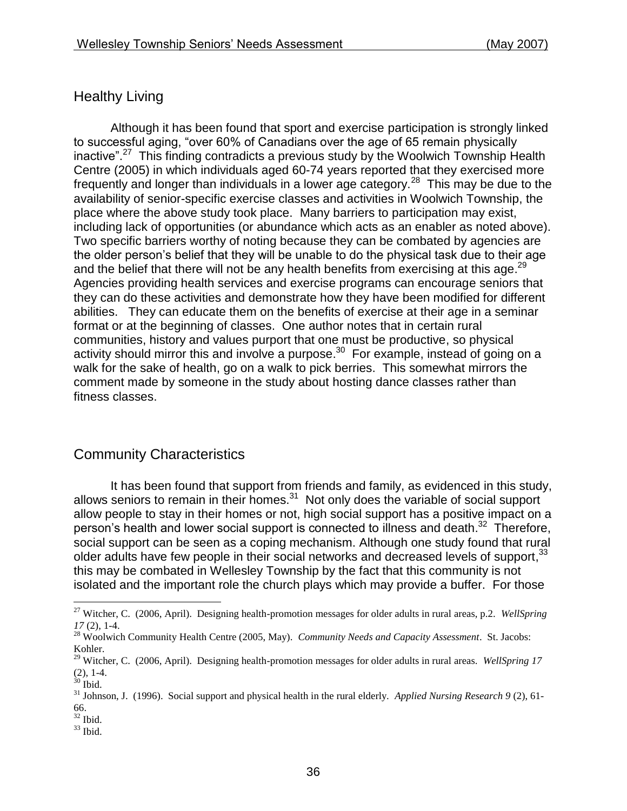# Healthy Living

Although it has been found that sport and exercise participation is strongly linked to successful aging, "over 60% of Canadians over the age of 65 remain physically inactive".<sup>27</sup> This finding contradicts a previous study by the Woolwich Township Health Centre (2005) in which individuals aged 60-74 years reported that they exercised more frequently and longer than individuals in a lower age category.<sup>28</sup> This may be due to the availability of senior-specific exercise classes and activities in Woolwich Township, the place where the above study took place. Many barriers to participation may exist, including lack of opportunities (or abundance which acts as an enabler as noted above). Two specific barriers worthy of noting because they can be combated by agencies are the older person's belief that they will be unable to do the physical task due to their age and the belief that there will not be any health benefits from exercising at this age. $^{29}$ Agencies providing health services and exercise programs can encourage seniors that they can do these activities and demonstrate how they have been modified for different abilities. They can educate them on the benefits of exercise at their age in a seminar format or at the beginning of classes. One author notes that in certain rural communities, history and values purport that one must be productive, so physical activity should mirror this and involve a purpose.<sup>30</sup> For example, instead of going on a walk for the sake of health, go on a walk to pick berries. This somewhat mirrors the comment made by someone in the study about hosting dance classes rather than fitness classes.

## Community Characteristics

It has been found that support from friends and family, as evidenced in this study, allows seniors to remain in their homes. $31$  Not only does the variable of social support allow people to stay in their homes or not, high social support has a positive impact on a person's health and lower social support is connected to illness and death.<sup>32</sup> Therefore, social support can be seen as a coping mechanism. Although one study found that rural older adults have few people in their social networks and decreased levels of support,<sup>33</sup> this may be combated in Wellesley Township by the fact that this community is not isolated and the important role the church plays which may provide a buffer. For those

 $\overline{a}$ 

 $32$  Ibid.

<sup>27</sup> Witcher, C. (2006, April). Designing health-promotion messages for older adults in rural areas, p.2. *WellSpring 17* (2), 1-4.

<sup>28</sup> Woolwich Community Health Centre (2005, May). *Community Needs and Capacity Assessment*. St. Jacobs: Kohler.

<sup>29</sup> Witcher, C. (2006, April). Designing health-promotion messages for older adults in rural areas. *WellSpring 17* (2), 1-4.

 $30$  Ibid.

<sup>31</sup> Johnson, J. (1996). Social support and physical health in the rural elderly. *Applied Nursing Research 9* (2), 61- 66.

 $33$  Ibid.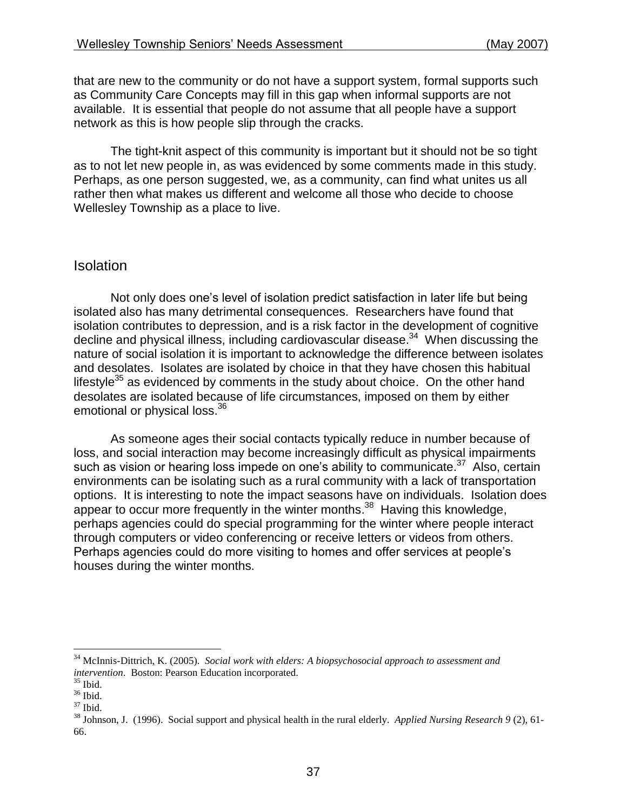that are new to the community or do not have a support system, formal supports such as Community Care Concepts may fill in this gap when informal supports are not available. It is essential that people do not assume that all people have a support network as this is how people slip through the cracks.

The tight-knit aspect of this community is important but it should not be so tight as to not let new people in, as was evidenced by some comments made in this study. Perhaps, as one person suggested, we, as a community, can find what unites us all rather then what makes us different and welcome all those who decide to choose Wellesley Township as a place to live.

#### **Isolation**

Not only does one's level of isolation predict satisfaction in later life but being isolated also has many detrimental consequences. Researchers have found that isolation contributes to depression, and is a risk factor in the development of cognitive decline and physical illness, including cardiovascular disease.<sup>34</sup> When discussing the nature of social isolation it is important to acknowledge the difference between isolates and desolates. Isolates are isolated by choice in that they have chosen this habitual lifestyle<sup>35</sup> as evidenced by comments in the study about choice. On the other hand desolates are isolated because of life circumstances, imposed on them by either emotional or physical loss.<sup>36</sup>

As someone ages their social contacts typically reduce in number because of loss, and social interaction may become increasingly difficult as physical impairments such as vision or hearing loss impede on one's ability to communicate.<sup>37</sup> Also, certain environments can be isolating such as a rural community with a lack of transportation options. It is interesting to note the impact seasons have on individuals. Isolation does appear to occur more frequently in the winter months.<sup>38</sup> Having this knowledge, perhaps agencies could do special programming for the winter where people interact through computers or video conferencing or receive letters or videos from others. Perhaps agencies could do more visiting to homes and offer services at people's houses during the winter months.

 $\overline{a}$ 

<sup>34</sup> McInnis-Dittrich, K. (2005). *Social work with elders: A biopsychosocial approach to assessment and intervention*. Boston: Pearson Education incorporated.

 $35$  Ibid.

 $36$  Ibid.

<sup>37</sup> Ibid.

<sup>38</sup> Johnson, J. (1996). Social support and physical health in the rural elderly. *Applied Nursing Research 9* (2), 61- 66.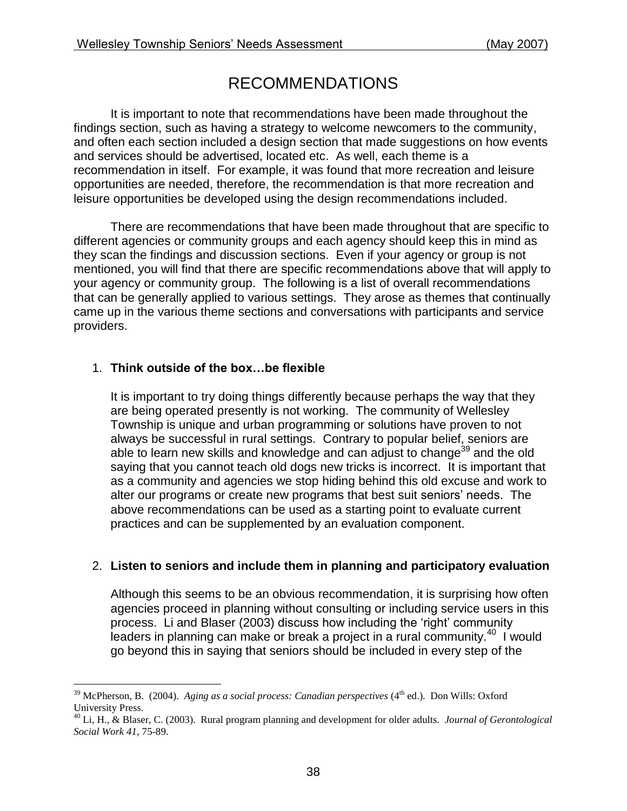# RECOMMENDATIONS

It is important to note that recommendations have been made throughout the findings section, such as having a strategy to welcome newcomers to the community, and often each section included a design section that made suggestions on how events and services should be advertised, located etc. As well, each theme is a recommendation in itself. For example, it was found that more recreation and leisure opportunities are needed, therefore, the recommendation is that more recreation and leisure opportunities be developed using the design recommendations included.

There are recommendations that have been made throughout that are specific to different agencies or community groups and each agency should keep this in mind as they scan the findings and discussion sections. Even if your agency or group is not mentioned, you will find that there are specific recommendations above that will apply to your agency or community group. The following is a list of overall recommendations that can be generally applied to various settings. They arose as themes that continually came up in the various theme sections and conversations with participants and service providers.

### 1. **Think outside of the box…be flexible**

 $\overline{a}$ 

It is important to try doing things differently because perhaps the way that they are being operated presently is not working. The community of Wellesley Township is unique and urban programming or solutions have proven to not always be successful in rural settings. Contrary to popular belief, seniors are able to learn new skills and knowledge and can adjust to change<sup>39</sup> and the old saying that you cannot teach old dogs new tricks is incorrect. It is important that as a community and agencies we stop hiding behind this old excuse and work to alter our programs or create new programs that best suit seniors' needs. The above recommendations can be used as a starting point to evaluate current practices and can be supplemented by an evaluation component.

### 2. **Listen to seniors and include them in planning and participatory evaluation**

Although this seems to be an obvious recommendation, it is surprising how often agencies proceed in planning without consulting or including service users in this process. Li and Blaser (2003) discuss how including the 'right' community leaders in planning can make or break a project in a rural community.<sup>40</sup> I would go beyond this in saying that seniors should be included in every step of the

 $39$  McPherson, B. (2004). *Aging as a social process: Canadian perspectives* ( $4<sup>th</sup>$  ed.). Don Wills: Oxford University Press.

<sup>40</sup> Li, H., & Blaser, C. (2003). Rural program planning and development for older adults. *Journal of Gerontological Social Work 41*, 75-89.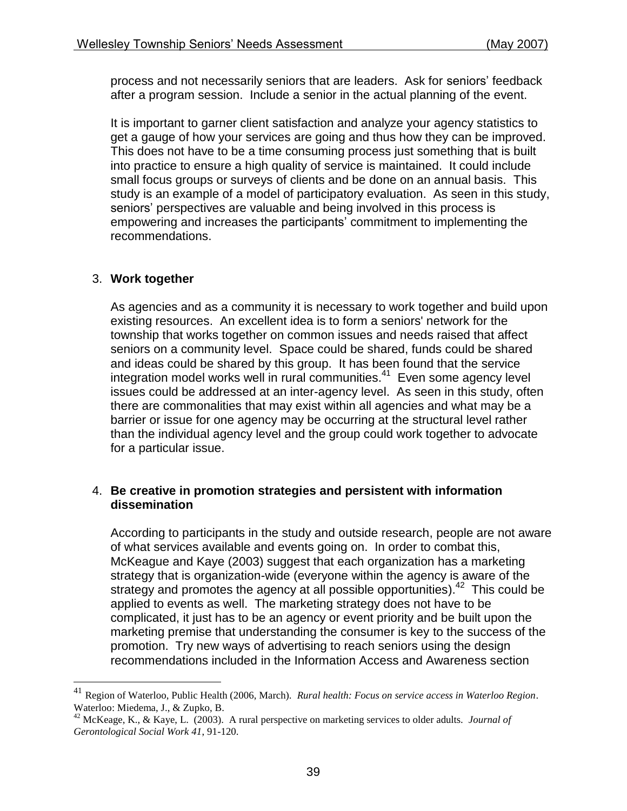process and not necessarily seniors that are leaders. Ask for seniors' feedback after a program session. Include a senior in the actual planning of the event.

It is important to garner client satisfaction and analyze your agency statistics to get a gauge of how your services are going and thus how they can be improved. This does not have to be a time consuming process just something that is built into practice to ensure a high quality of service is maintained. It could include small focus groups or surveys of clients and be done on an annual basis. This study is an example of a model of participatory evaluation. As seen in this study, seniors' perspectives are valuable and being involved in this process is empowering and increases the participants' commitment to implementing the recommendations.

### 3. **Work together**

 $\overline{a}$ 

As agencies and as a community it is necessary to work together and build upon existing resources. An excellent idea is to form a seniors' network for the township that works together on common issues and needs raised that affect seniors on a community level. Space could be shared, funds could be shared and ideas could be shared by this group. It has been found that the service integration model works well in rural communities. 41 Even some agency level issues could be addressed at an inter-agency level. As seen in this study, often there are commonalities that may exist within all agencies and what may be a barrier or issue for one agency may be occurring at the structural level rather than the individual agency level and the group could work together to advocate for a particular issue.

#### 4. **Be creative in promotion strategies and persistent with information dissemination**

According to participants in the study and outside research, people are not aware of what services available and events going on. In order to combat this, McKeague and Kaye (2003) suggest that each organization has a marketing strategy that is organization-wide (everyone within the agency is aware of the strategy and promotes the agency at all possible opportunities).<sup>42</sup> This could be applied to events as well. The marketing strategy does not have to be complicated, it just has to be an agency or event priority and be built upon the marketing premise that understanding the consumer is key to the success of the promotion. Try new ways of advertising to reach seniors using the design recommendations included in the Information Access and Awareness section

<sup>41</sup> Region of Waterloo, Public Health (2006, March). *Rural health: Focus on service access in Waterloo Region*. Waterloo: Miedema, J., & Zupko, B.

<sup>42</sup> McKeage, K., & Kaye, L. (2003). A rural perspective on marketing services to older adults. *Journal of Gerontological Social Work 41*, 91-120.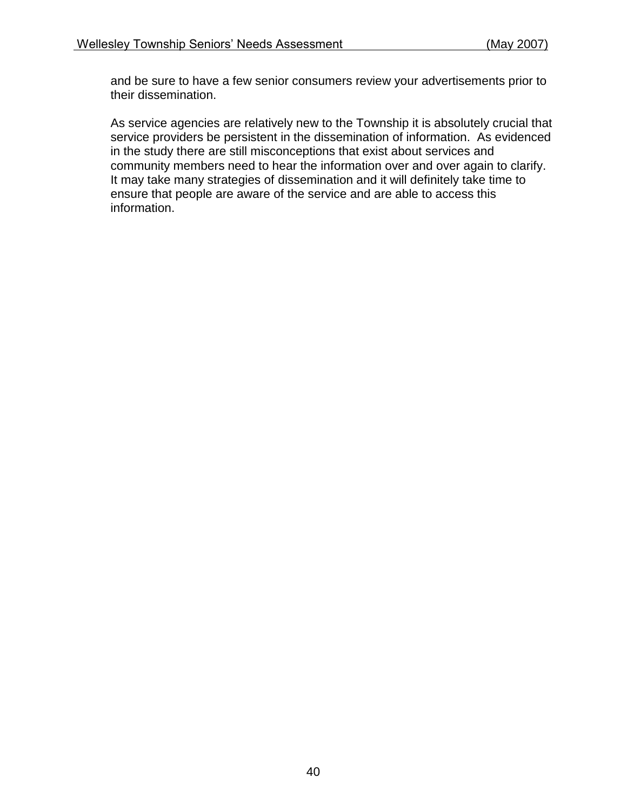and be sure to have a few senior consumers review your advertisements prior to their dissemination.

As service agencies are relatively new to the Township it is absolutely crucial that service providers be persistent in the dissemination of information. As evidenced in the study there are still misconceptions that exist about services and community members need to hear the information over and over again to clarify. It may take many strategies of dissemination and it will definitely take time to ensure that people are aware of the service and are able to access this information.